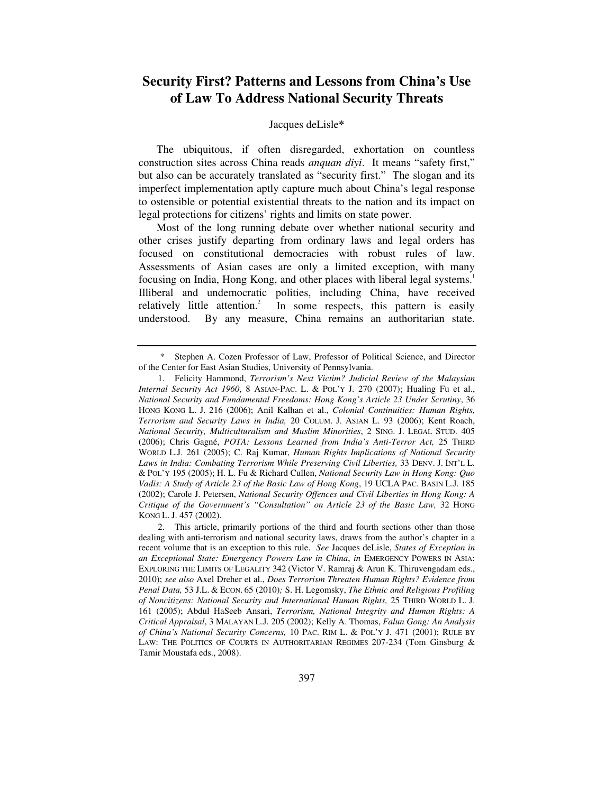# **Security First? Patterns and Lessons from China's Use of Law To Address National Security Threats**

# Jacques deLisle*\**

The ubiquitous, if often disregarded, exhortation on countless construction sites across China reads *anquan diyi*. It means "safety first," but also can be accurately translated as "security first." The slogan and its imperfect implementation aptly capture much about China's legal response to ostensible or potential existential threats to the nation and its impact on legal protections for citizens' rights and limits on state power.

Most of the long running debate over whether national security and other crises justify departing from ordinary laws and legal orders has focused on constitutional democracies with robust rules of law. Assessments of Asian cases are only a limited exception, with many focusing on India, Hong Kong, and other places with liberal legal systems.<sup>1</sup> Illiberal and undemocratic polities, including China, have received relatively little attention.<sup>2</sup> In some respects, this pattern is easily understood. By any measure, China remains an authoritarian state.

 <sup>\*</sup> Stephen A. Cozen Professor of Law, Professor of Political Science, and Director of the Center for East Asian Studies, University of Pennsylvania.

 <sup>1.</sup> Felicity Hammond, *Terrorism's Next Victim? Judicial Review of the Malaysian Internal Security Act 1960*, 8 ASIAN-PAC. L. & POL'Y J. 270 (2007); Hualing Fu et al., *National Security and Fundamental Freedoms: Hong Kong's Article 23 Under Scrutiny*, 36 HONG KONG L. J. 216 (2006); Anil Kalhan et al., *Colonial Continuities: Human Rights, Terrorism and Security Laws in India,* 20 COLUM. J. ASIAN L. 93 (2006); Kent Roach, *National Security, Multiculturalism and Muslim Minorities*, 2 SING. J. LEGAL STUD. 405 (2006); Chris Gagné, *POTA: Lessons Learned from India's Anti-Terror Act,* 25 THIRD WORLD L.J. 261 (2005); C. Raj Kumar, *Human Rights Implications of National Security Laws in India: Combating Terrorism While Preserving Civil Liberties,* 33 DENV. J. INT'L L. & POL'Y 195 (2005); H. L. Fu & Richard Cullen, *National Security Law in Hong Kong: Quo Vadis: A Study of Article 23 of the Basic Law of Hong Kong*, 19 UCLA PAC. BASIN L.J. 185 (2002); Carole J. Petersen, *National Security Offences and Civil Liberties in Hong Kong: A Critique of the Government's "Consultation" on Article 23 of the Basic Law,* 32 HONG KONG L. J. 457 (2002).

 <sup>2.</sup> This article, primarily portions of the third and fourth sections other than those dealing with anti-terrorism and national security laws, draws from the author's chapter in a recent volume that is an exception to this rule. *See* Jacques deLisle, *States of Exception in an Exceptional State: Emergency Powers Law in China*, *in* EMERGENCY POWERS IN ASIA: EXPLORING THE LIMITS OF LEGALITY 342 (Victor V. Ramraj & Arun K. Thiruvengadam eds., 2010); *see also* Axel Dreher et al., *Does Terrorism Threaten Human Rights? Evidence from Penal Data,* 53 J.L. & ECON. 65 (2010)*;* S. H. Legomsky, *The Ethnic and Religious Profiling of Noncitizens: National Security and International Human Rights,* 25 THIRD WORLD L. J. 161 (2005); Abdul HaSeeb Ansari, *Terrorism, National Integrity and Human Rights: A Critical Appraisal*, 3 MALAYAN L.J. 205 (2002); Kelly A. Thomas, *Falun Gong: An Analysis of China's National Security Concerns,* 10 PAC. RIM L. & POL'Y J. 471 (2001); RULE BY LAW: THE POLITICS OF COURTS IN AUTHORITARIAN REGIMES 207-234 (Tom Ginsburg & Tamir Moustafa eds., 2008).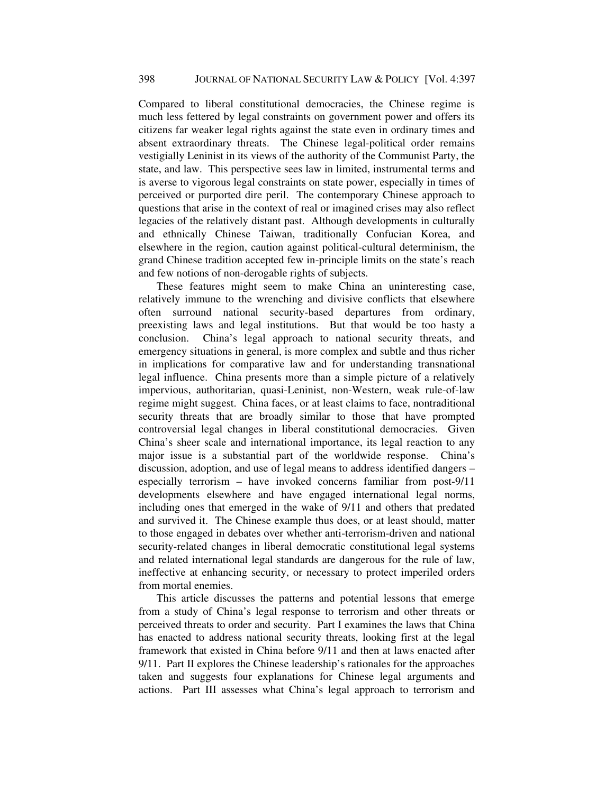Compared to liberal constitutional democracies, the Chinese regime is much less fettered by legal constraints on government power and offers its citizens far weaker legal rights against the state even in ordinary times and absent extraordinary threats. The Chinese legal-political order remains vestigially Leninist in its views of the authority of the Communist Party, the state, and law. This perspective sees law in limited, instrumental terms and is averse to vigorous legal constraints on state power, especially in times of perceived or purported dire peril. The contemporary Chinese approach to questions that arise in the context of real or imagined crises may also reflect legacies of the relatively distant past. Although developments in culturally and ethnically Chinese Taiwan, traditionally Confucian Korea, and elsewhere in the region, caution against political-cultural determinism, the grand Chinese tradition accepted few in-principle limits on the state's reach and few notions of non-derogable rights of subjects.

These features might seem to make China an uninteresting case, relatively immune to the wrenching and divisive conflicts that elsewhere often surround national security-based departures from ordinary, preexisting laws and legal institutions. But that would be too hasty a conclusion. China's legal approach to national security threats, and emergency situations in general, is more complex and subtle and thus richer in implications for comparative law and for understanding transnational legal influence. China presents more than a simple picture of a relatively impervious, authoritarian, quasi-Leninist, non-Western, weak rule-of-law regime might suggest. China faces, or at least claims to face, nontraditional security threats that are broadly similar to those that have prompted controversial legal changes in liberal constitutional democracies. Given China's sheer scale and international importance, its legal reaction to any major issue is a substantial part of the worldwide response. China's discussion, adoption, and use of legal means to address identified dangers – especially terrorism – have invoked concerns familiar from post-9/11 developments elsewhere and have engaged international legal norms, including ones that emerged in the wake of 9/11 and others that predated and survived it. The Chinese example thus does, or at least should, matter to those engaged in debates over whether anti-terrorism-driven and national security-related changes in liberal democratic constitutional legal systems and related international legal standards are dangerous for the rule of law, ineffective at enhancing security, or necessary to protect imperiled orders from mortal enemies.

This article discusses the patterns and potential lessons that emerge from a study of China's legal response to terrorism and other threats or perceived threats to order and security. Part I examines the laws that China has enacted to address national security threats, looking first at the legal framework that existed in China before 9/11 and then at laws enacted after 9/11. Part II explores the Chinese leadership's rationales for the approaches taken and suggests four explanations for Chinese legal arguments and actions. Part III assesses what China's legal approach to terrorism and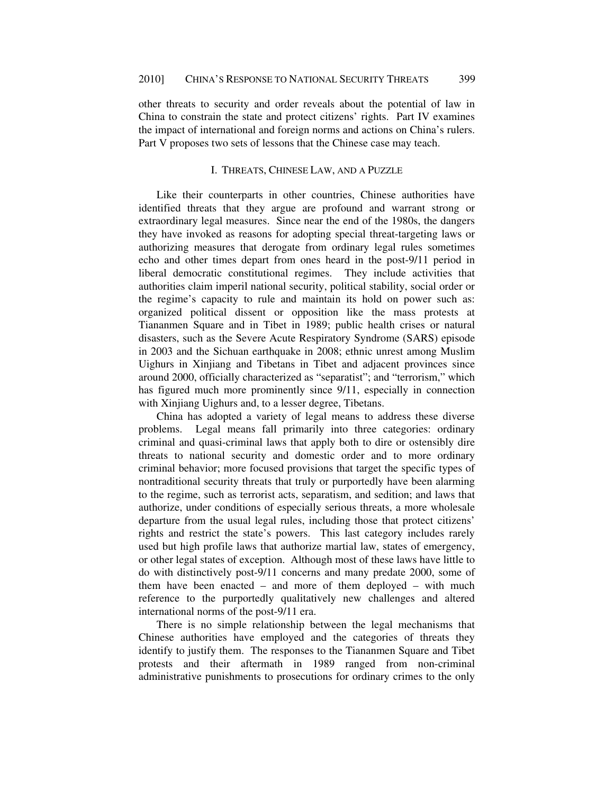other threats to security and order reveals about the potential of law in China to constrain the state and protect citizens' rights. Part IV examines the impact of international and foreign norms and actions on China's rulers. Part V proposes two sets of lessons that the Chinese case may teach.

### I. THREATS, CHINESE LAW, AND A PUZZLE

Like their counterparts in other countries, Chinese authorities have identified threats that they argue are profound and warrant strong or extraordinary legal measures. Since near the end of the 1980s, the dangers they have invoked as reasons for adopting special threat-targeting laws or authorizing measures that derogate from ordinary legal rules sometimes echo and other times depart from ones heard in the post-9/11 period in liberal democratic constitutional regimes. They include activities that authorities claim imperil national security, political stability, social order or the regime's capacity to rule and maintain its hold on power such as: organized political dissent or opposition like the mass protests at Tiananmen Square and in Tibet in 1989; public health crises or natural disasters, such as the Severe Acute Respiratory Syndrome (SARS) episode in 2003 and the Sichuan earthquake in 2008; ethnic unrest among Muslim Uighurs in Xinjiang and Tibetans in Tibet and adjacent provinces since around 2000, officially characterized as "separatist"; and "terrorism," which has figured much more prominently since 9/11, especially in connection with Xinjiang Uighurs and, to a lesser degree, Tibetans.

China has adopted a variety of legal means to address these diverse problems. Legal means fall primarily into three categories: ordinary criminal and quasi-criminal laws that apply both to dire or ostensibly dire threats to national security and domestic order and to more ordinary criminal behavior; more focused provisions that target the specific types of nontraditional security threats that truly or purportedly have been alarming to the regime, such as terrorist acts, separatism, and sedition; and laws that authorize, under conditions of especially serious threats, a more wholesale departure from the usual legal rules, including those that protect citizens' rights and restrict the state's powers. This last category includes rarely used but high profile laws that authorize martial law, states of emergency, or other legal states of exception. Although most of these laws have little to do with distinctively post-9/11 concerns and many predate 2000, some of them have been enacted – and more of them deployed – with much reference to the purportedly qualitatively new challenges and altered international norms of the post-9/11 era.

There is no simple relationship between the legal mechanisms that Chinese authorities have employed and the categories of threats they identify to justify them. The responses to the Tiananmen Square and Tibet protests and their aftermath in 1989 ranged from non-criminal administrative punishments to prosecutions for ordinary crimes to the only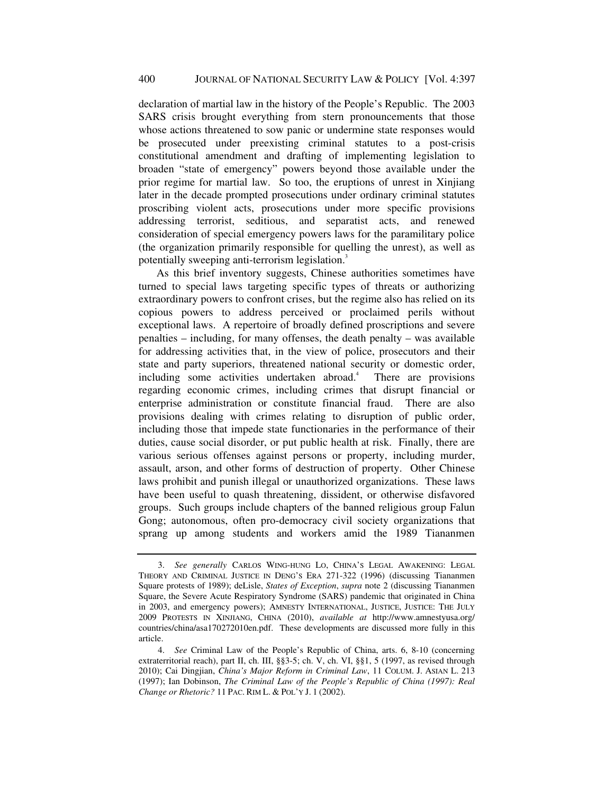declaration of martial law in the history of the People's Republic. The 2003 SARS crisis brought everything from stern pronouncements that those whose actions threatened to sow panic or undermine state responses would be prosecuted under preexisting criminal statutes to a post-crisis constitutional amendment and drafting of implementing legislation to broaden "state of emergency" powers beyond those available under the prior regime for martial law. So too, the eruptions of unrest in Xinjiang later in the decade prompted prosecutions under ordinary criminal statutes proscribing violent acts, prosecutions under more specific provisions addressing terrorist, seditious, and separatist acts, and renewed consideration of special emergency powers laws for the paramilitary police (the organization primarily responsible for quelling the unrest), as well as potentially sweeping anti-terrorism legislation.<sup>3</sup>

As this brief inventory suggests, Chinese authorities sometimes have turned to special laws targeting specific types of threats or authorizing extraordinary powers to confront crises, but the regime also has relied on its copious powers to address perceived or proclaimed perils without exceptional laws. A repertoire of broadly defined proscriptions and severe penalties – including, for many offenses, the death penalty – was available for addressing activities that, in the view of police, prosecutors and their state and party superiors, threatened national security or domestic order, including some activities undertaken abroad.<sup>4</sup> There are provisions regarding economic crimes, including crimes that disrupt financial or enterprise administration or constitute financial fraud. There are also provisions dealing with crimes relating to disruption of public order, including those that impede state functionaries in the performance of their duties, cause social disorder, or put public health at risk. Finally, there are various serious offenses against persons or property, including murder, assault, arson, and other forms of destruction of property. Other Chinese laws prohibit and punish illegal or unauthorized organizations. These laws have been useful to quash threatening, dissident, or otherwise disfavored groups. Such groups include chapters of the banned religious group Falun Gong; autonomous, often pro-democracy civil society organizations that sprang up among students and workers amid the 1989 Tiananmen

<sup>3.</sup> *See generally* CARLOS WING-HUNG LO, CHINA'S LEGAL AWAKENING: LEGAL THEORY AND CRIMINAL JUSTICE IN DENG'S ERA 271-322 (1996) (discussing Tiananmen Square protests of 1989); deLisle, *States of Exception*, *supra* note 2 (discussing Tiananmen Square, the Severe Acute Respiratory Syndrome (SARS) pandemic that originated in China in 2003, and emergency powers); AMNESTY INTERNATIONAL, JUSTICE, JUSTICE: THE JULY 2009 PROTESTS IN XINJIANG, CHINA (2010), *available at* http://www.amnestyusa.org/ countries/china/asa170272010en.pdf. These developments are discussed more fully in this article.

<sup>4.</sup> *See* Criminal Law of the People's Republic of China, arts. 6, 8-10 (concerning extraterritorial reach), part II, ch. III, §§3-5; ch. V, ch. VI, §§1, 5 (1997, as revised through 2010); Cai Dingjian, *China's Major Reform in Criminal Law*, 11 COLUM. J. ASIAN L. 213 (1997); Ian Dobinson, *The Criminal Law of the People's Republic of China (1997): Real Change or Rhetoric?* 11 PAC. RIM L. & POL'Y J. 1 (2002).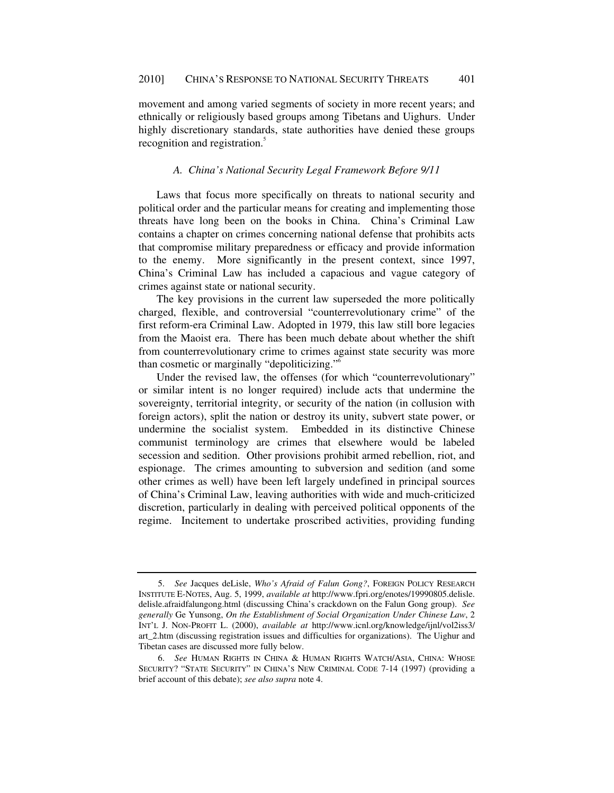movement and among varied segments of society in more recent years; and ethnically or religiously based groups among Tibetans and Uighurs. Under highly discretionary standards, state authorities have denied these groups recognition and registration.<sup>5</sup>

# *A. China's National Security Legal Framework Before 9/11*

Laws that focus more specifically on threats to national security and political order and the particular means for creating and implementing those threats have long been on the books in China. China's Criminal Law contains a chapter on crimes concerning national defense that prohibits acts that compromise military preparedness or efficacy and provide information to the enemy. More significantly in the present context, since 1997, China's Criminal Law has included a capacious and vague category of crimes against state or national security.

The key provisions in the current law superseded the more politically charged, flexible, and controversial "counterrevolutionary crime" of the first reform-era Criminal Law. Adopted in 1979, this law still bore legacies from the Maoist era. There has been much debate about whether the shift from counterrevolutionary crime to crimes against state security was more than cosmetic or marginally "depoliticizing."6

Under the revised law, the offenses (for which "counterrevolutionary" or similar intent is no longer required) include acts that undermine the sovereignty, territorial integrity, or security of the nation (in collusion with foreign actors), split the nation or destroy its unity, subvert state power, or undermine the socialist system. Embedded in its distinctive Chinese communist terminology are crimes that elsewhere would be labeled secession and sedition. Other provisions prohibit armed rebellion, riot, and espionage. The crimes amounting to subversion and sedition (and some other crimes as well) have been left largely undefined in principal sources of China's Criminal Law, leaving authorities with wide and much-criticized discretion, particularly in dealing with perceived political opponents of the regime. Incitement to undertake proscribed activities, providing funding

<sup>5.</sup> *See* Jacques deLisle, *Who's Afraid of Falun Gong?*, FOREIGN POLICY RESEARCH INSTITUTE E-NOTES, Aug. 5, 1999, *available at* http://www.fpri.org/enotes/19990805.delisle. delisle.afraidfalungong.html (discussing China's crackdown on the Falun Gong group). *See generally* Ge Yunsong, *On the Establishment of Social Organization Under Chinese Law*, 2 INT'L J. NON-PROFIT L. (2000), *available at* http://www.icnl.org/knowledge/ijnl/vol2iss3/ art\_2.htm (discussing registration issues and difficulties for organizations). The Uighur and Tibetan cases are discussed more fully below.

<sup>6.</sup> *See* HUMAN RIGHTS IN CHINA & HUMAN RIGHTS WATCH/ASIA, CHINA: WHOSE SECURITY? "STATE SECURITY" IN CHINA'S NEW CRIMINAL CODE 7-14 (1997) (providing a brief account of this debate); *see also supra* note 4.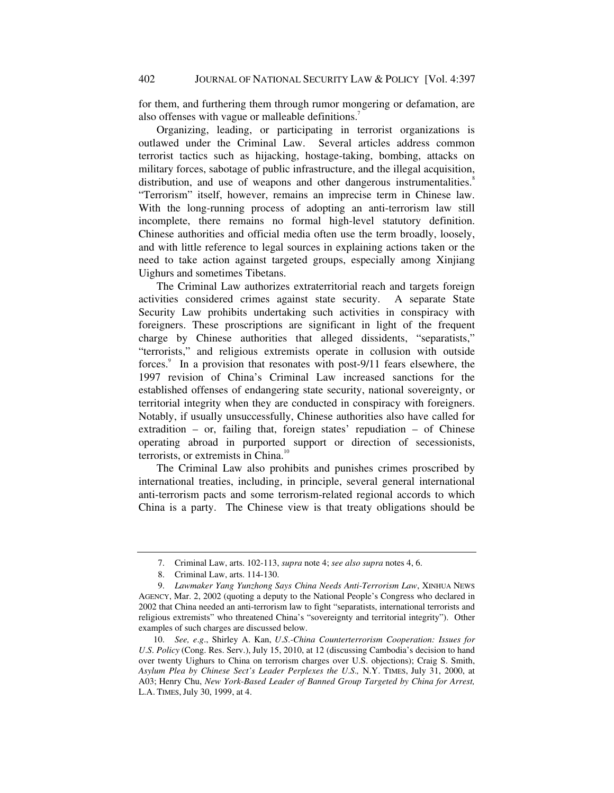for them, and furthering them through rumor mongering or defamation, are also offenses with vague or malleable definitions.<sup>7</sup>

Organizing, leading, or participating in terrorist organizations is outlawed under the Criminal Law. Several articles address common terrorist tactics such as hijacking, hostage-taking, bombing, attacks on military forces, sabotage of public infrastructure, and the illegal acquisition, distribution, and use of weapons and other dangerous instrumentalities.<sup>8</sup> "Terrorism" itself, however, remains an imprecise term in Chinese law. With the long-running process of adopting an anti-terrorism law still incomplete, there remains no formal high-level statutory definition. Chinese authorities and official media often use the term broadly, loosely, and with little reference to legal sources in explaining actions taken or the need to take action against targeted groups, especially among Xinjiang Uighurs and sometimes Tibetans.

The Criminal Law authorizes extraterritorial reach and targets foreign activities considered crimes against state security. A separate State Security Law prohibits undertaking such activities in conspiracy with foreigners. These proscriptions are significant in light of the frequent charge by Chinese authorities that alleged dissidents, "separatists," "terrorists," and religious extremists operate in collusion with outside forces.<sup>9</sup> In a provision that resonates with post-9/11 fears elsewhere, the 1997 revision of China's Criminal Law increased sanctions for the established offenses of endangering state security, national sovereignty, or territorial integrity when they are conducted in conspiracy with foreigners. Notably, if usually unsuccessfully, Chinese authorities also have called for extradition – or, failing that, foreign states' repudiation – of Chinese operating abroad in purported support or direction of secessionists, terrorists, or extremists in China.<sup>10</sup>

The Criminal Law also prohibits and punishes crimes proscribed by international treaties, including, in principle, several general international anti-terrorism pacts and some terrorism-related regional accords to which China is a party. The Chinese view is that treaty obligations should be

 <sup>7.</sup> Criminal Law, arts. 102-113, *supra* note 4; *see also supra* notes 4, 6.

 <sup>8.</sup> Criminal Law, arts. 114-130.

<sup>9.</sup> *Lawmaker Yang Yunzhong Says China Needs Anti-Terrorism Law*, XINHUA NEWS AGENCY, Mar. 2, 2002 (quoting a deputy to the National People's Congress who declared in 2002 that China needed an anti-terrorism law to fight "separatists, international terrorists and religious extremists" who threatened China's "sovereignty and territorial integrity"). Other examples of such charges are discussed below.

<sup>10.</sup> *See, e*.*g*., Shirley A. Kan, *U*.*S*.*-China Counterterrorism Cooperation: Issues for U*.*S*. *Policy* (Cong. Res. Serv.), July 15, 2010, at 12 (discussing Cambodia's decision to hand over twenty Uighurs to China on terrorism charges over U.S. objections); Craig S. Smith, *Asylum Plea by Chinese Sect's Leader Perplexes the U*.*S*.*,* N.Y. TIMES, July 31, 2000, at A03; Henry Chu, *New York-Based Leader of Banned Group Targeted by China for Arrest,*  L.A. TIMES, July 30, 1999, at 4.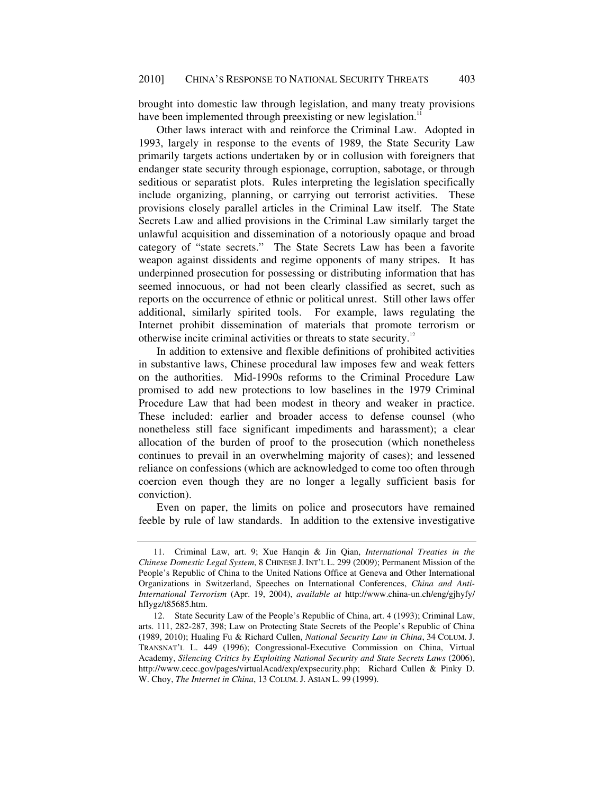brought into domestic law through legislation, and many treaty provisions have been implemented through preexisting or new legislation.<sup>1</sup>

Other laws interact with and reinforce the Criminal Law. Adopted in 1993, largely in response to the events of 1989, the State Security Law primarily targets actions undertaken by or in collusion with foreigners that endanger state security through espionage, corruption, sabotage, or through seditious or separatist plots. Rules interpreting the legislation specifically include organizing, planning, or carrying out terrorist activities. These provisions closely parallel articles in the Criminal Law itself. The State Secrets Law and allied provisions in the Criminal Law similarly target the unlawful acquisition and dissemination of a notoriously opaque and broad category of "state secrets." The State Secrets Law has been a favorite weapon against dissidents and regime opponents of many stripes. It has underpinned prosecution for possessing or distributing information that has seemed innocuous, or had not been clearly classified as secret, such as reports on the occurrence of ethnic or political unrest. Still other laws offer additional, similarly spirited tools. For example, laws regulating the Internet prohibit dissemination of materials that promote terrorism or otherwise incite criminal activities or threats to state security.<sup>12</sup>

In addition to extensive and flexible definitions of prohibited activities in substantive laws, Chinese procedural law imposes few and weak fetters on the authorities. Mid-1990s reforms to the Criminal Procedure Law promised to add new protections to low baselines in the 1979 Criminal Procedure Law that had been modest in theory and weaker in practice. These included: earlier and broader access to defense counsel (who nonetheless still face significant impediments and harassment); a clear allocation of the burden of proof to the prosecution (which nonetheless continues to prevail in an overwhelming majority of cases); and lessened reliance on confessions (which are acknowledged to come too often through coercion even though they are no longer a legally sufficient basis for conviction).

Even on paper, the limits on police and prosecutors have remained feeble by rule of law standards. In addition to the extensive investigative

 <sup>11.</sup> Criminal Law, art. 9; Xue Hanqin & Jin Qian, *International Treaties in the Chinese Domestic Legal System*, 8 CHINESE J. INT'L L. 299 (2009); Permanent Mission of the People's Republic of China to the United Nations Office at Geneva and Other International Organizations in Switzerland, Speeches on International Conferences, *China and Anti-International Terrorism* (Apr. 19, 2004), *available at* http://www.china-un.ch/eng/gjhyfy/ hflygz/t85685.htm.

 <sup>12.</sup> State Security Law of the People's Republic of China, art. 4 (1993); Criminal Law, arts. 111, 282-287, 398; Law on Protecting State Secrets of the People's Republic of China (1989, 2010); Hualing Fu & Richard Cullen, *National Security Law in China*, 34 COLUM. J. TRANSNAT'L L. 449 (1996); Congressional-Executive Commission on China, Virtual Academy, *Silencing Critics by Exploiting National Security and State Secrets Laws* (2006), http://www.cecc.gov/pages/virtualAcad/exp/expsecurity.php; Richard Cullen & Pinky D. W. Choy, *The Internet in China*, 13 COLUM. J. ASIAN L. 99 (1999).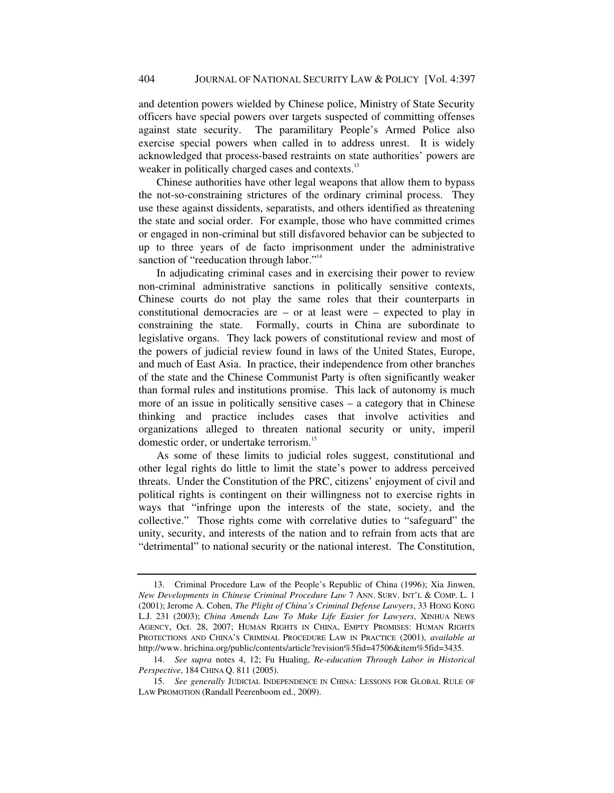and detention powers wielded by Chinese police, Ministry of State Security officers have special powers over targets suspected of committing offenses against state security. The paramilitary People's Armed Police also exercise special powers when called in to address unrest. It is widely acknowledged that process-based restraints on state authorities' powers are weaker in politically charged cases and contexts.<sup>13</sup>

Chinese authorities have other legal weapons that allow them to bypass the not-so-constraining strictures of the ordinary criminal process. They use these against dissidents, separatists, and others identified as threatening the state and social order. For example, those who have committed crimes or engaged in non-criminal but still disfavored behavior can be subjected to up to three years of de facto imprisonment under the administrative sanction of "reeducation through labor."<sup>14</sup>

In adjudicating criminal cases and in exercising their power to review non-criminal administrative sanctions in politically sensitive contexts, Chinese courts do not play the same roles that their counterparts in constitutional democracies are  $-$  or at least were  $-$  expected to play in constraining the state. Formally, courts in China are subordinate to legislative organs. They lack powers of constitutional review and most of the powers of judicial review found in laws of the United States, Europe, and much of East Asia. In practice, their independence from other branches of the state and the Chinese Communist Party is often significantly weaker than formal rules and institutions promise. This lack of autonomy is much more of an issue in politically sensitive cases – a category that in Chinese thinking and practice includes cases that involve activities and organizations alleged to threaten national security or unity, imperil domestic order, or undertake terrorism.<sup>15</sup>

As some of these limits to judicial roles suggest, constitutional and other legal rights do little to limit the state's power to address perceived threats. Under the Constitution of the PRC, citizens' enjoyment of civil and political rights is contingent on their willingness not to exercise rights in ways that "infringe upon the interests of the state, society, and the collective." Those rights come with correlative duties to "safeguard" the unity, security, and interests of the nation and to refrain from acts that are "detrimental" to national security or the national interest. The Constitution,

 <sup>13.</sup> Criminal Procedure Law of the People's Republic of China (1996); Xia Jinwen, *New Developments in Chinese Criminal Procedure Law* 7 ANN. SURV. INT'L & COMP. L. 1 (2001); Jerome A. Cohen, *The Plight of China's Criminal Defense Lawyers*, 33 HONG KONG L.J. 231 (2003); *China Amends Law To Make Life Easier for Lawyers*, XINHUA NEWS AGENCY, Oct. 28, 2007; HUMAN RIGHTS IN CHINA, EMPTY PROMISES: HUMAN RIGHTS PROTECTIONS AND CHINA'S CRIMINAL PROCEDURE LAW IN PRACTICE (2001), *available at* http://www. hrichina.org/public/contents/article?revision%5fid=47506&item%5fid=3435.

<sup>14.</sup> *See supra* notes 4, 12; Fu Hualing, *Re-education Through Labor in Historical Perspective*, 184 CHINA Q. 811 (2005).

<sup>15.</sup> *See generally* JUDICIAL INDEPENDENCE IN CHINA: LESSONS FOR GLOBAL RULE OF LAW PROMOTION (Randall Peerenboom ed., 2009).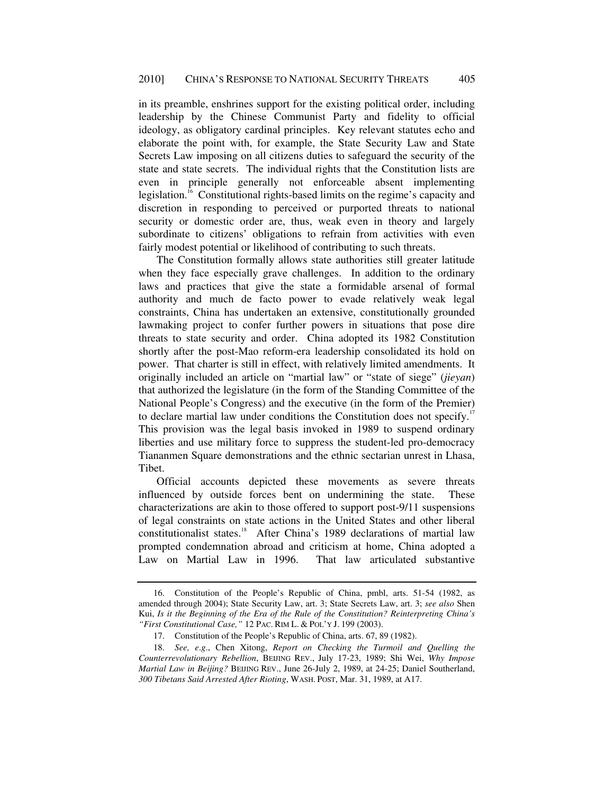in its preamble, enshrines support for the existing political order, including leadership by the Chinese Communist Party and fidelity to official ideology, as obligatory cardinal principles. Key relevant statutes echo and elaborate the point with, for example, the State Security Law and State Secrets Law imposing on all citizens duties to safeguard the security of the state and state secrets. The individual rights that the Constitution lists are even in principle generally not enforceable absent implementing legislation.16 Constitutional rights-based limits on the regime's capacity and discretion in responding to perceived or purported threats to national security or domestic order are, thus, weak even in theory and largely subordinate to citizens' obligations to refrain from activities with even fairly modest potential or likelihood of contributing to such threats.

The Constitution formally allows state authorities still greater latitude when they face especially grave challenges. In addition to the ordinary laws and practices that give the state a formidable arsenal of formal authority and much de facto power to evade relatively weak legal constraints, China has undertaken an extensive, constitutionally grounded lawmaking project to confer further powers in situations that pose dire threats to state security and order. China adopted its 1982 Constitution shortly after the post-Mao reform-era leadership consolidated its hold on power. That charter is still in effect, with relatively limited amendments. It originally included an article on "martial law" or "state of siege" (*jieyan*) that authorized the legislature (in the form of the Standing Committee of the National People's Congress) and the executive (in the form of the Premier) to declare martial law under conditions the Constitution does not specify.<sup>17</sup> This provision was the legal basis invoked in 1989 to suspend ordinary liberties and use military force to suppress the student-led pro-democracy Tiananmen Square demonstrations and the ethnic sectarian unrest in Lhasa, Tibet.

Official accounts depicted these movements as severe threats influenced by outside forces bent on undermining the state. These characterizations are akin to those offered to support post-9/11 suspensions of legal constraints on state actions in the United States and other liberal constitutionalist states.<sup>18</sup> After China's 1989 declarations of martial law prompted condemnation abroad and criticism at home, China adopted a Law on Martial Law in 1996. That law articulated substantive

 <sup>16.</sup> Constitution of the People's Republic of China, pmbl, arts. 51-54 (1982, as amended through 2004); State Security Law, art. 3; State Secrets Law, art. 3; *see also* Shen Kui, *Is it the Beginning of the Era of the Rule of the Constitution? Reinterpreting China's "First Constitutional Case,"* 12 PAC. RIM L. & POL'Y J. 199 (2003).

 <sup>17.</sup> Constitution of the People's Republic of China, arts. 67, 89 (1982).

<sup>18.</sup> *See, e*.*g*., Chen Xitong, *Report on Checking the Turmoil and Quelling the Counterrevolutionary Rebellion*, BEIJING REV., July 17-23, 1989; Shi Wei, *Why Impose Martial Law in Beijing?* BEIJING REV., June 26-July 2, 1989, at 24-25; Daniel Southerland, *300 Tibetans Said Arrested After Rioting*, WASH. POST, Mar. 31, 1989, at A17.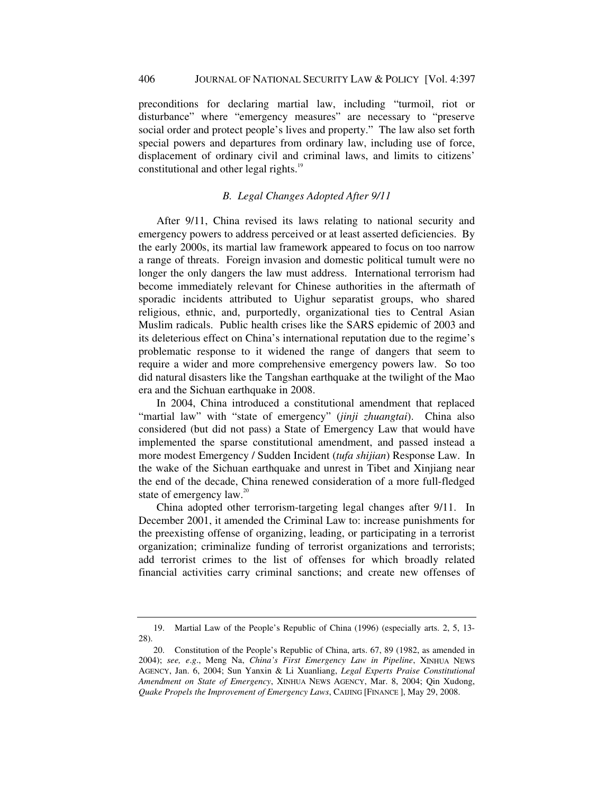preconditions for declaring martial law, including "turmoil, riot or disturbance" where "emergency measures" are necessary to "preserve social order and protect people's lives and property." The law also set forth special powers and departures from ordinary law, including use of force, displacement of ordinary civil and criminal laws, and limits to citizens' constitutional and other legal rights.<sup>19</sup>

# *B. Legal Changes Adopted After 9/11*

After 9/11, China revised its laws relating to national security and emergency powers to address perceived or at least asserted deficiencies. By the early 2000s, its martial law framework appeared to focus on too narrow a range of threats. Foreign invasion and domestic political tumult were no longer the only dangers the law must address. International terrorism had become immediately relevant for Chinese authorities in the aftermath of sporadic incidents attributed to Uighur separatist groups, who shared religious, ethnic, and, purportedly, organizational ties to Central Asian Muslim radicals. Public health crises like the SARS epidemic of 2003 and its deleterious effect on China's international reputation due to the regime's problematic response to it widened the range of dangers that seem to require a wider and more comprehensive emergency powers law. So too did natural disasters like the Tangshan earthquake at the twilight of the Mao era and the Sichuan earthquake in 2008.

In 2004, China introduced a constitutional amendment that replaced "martial law" with "state of emergency" (*jinji zhuangtai*). China also considered (but did not pass) a State of Emergency Law that would have implemented the sparse constitutional amendment, and passed instead a more modest Emergency / Sudden Incident (*tufa shijian*) Response Law. In the wake of the Sichuan earthquake and unrest in Tibet and Xinjiang near the end of the decade, China renewed consideration of a more full-fledged state of emergency  $law.^{20}$ .

China adopted other terrorism-targeting legal changes after 9/11. In December 2001, it amended the Criminal Law to: increase punishments for the preexisting offense of organizing, leading, or participating in a terrorist organization; criminalize funding of terrorist organizations and terrorists; add terrorist crimes to the list of offenses for which broadly related financial activities carry criminal sanctions; and create new offenses of

 <sup>19.</sup> Martial Law of the People's Republic of China (1996) (especially arts. 2, 5, 13- 28).

 <sup>20.</sup> Constitution of the People's Republic of China, arts. 67, 89 (1982, as amended in 2004); *see, e*.*g*., Meng Na, *China's First Emergency Law in Pipeline*, XINHUA NEWS AGENCY, Jan. 6, 2004; Sun Yanxin & Li Xuanliang, *Legal Experts Praise Constitutional Amendment on State of Emergency*, XINHUA NEWS AGENCY, Mar. 8, 2004; Qin Xudong, *Quake Propels the Improvement of Emergency Laws*, CAIJING [FINANCE ], May 29, 2008.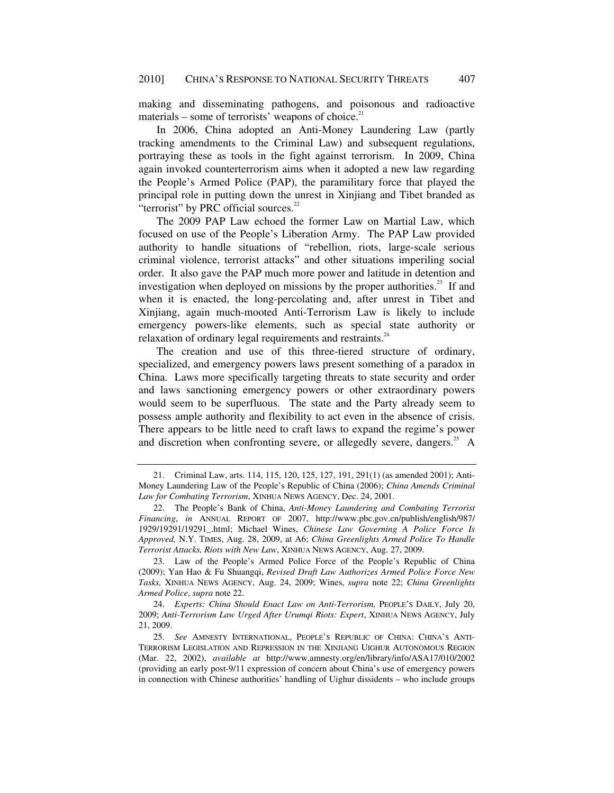making and disseminating pathogens, and poisonous and radioactive materials – some of terrorists' weapons of choice. $2<sup>1</sup>$ 

In 2006, China adopted an Anti-Money Laundering Law (partly tracking amendments to the Criminal Law) and subsequent regulations, portraying these as tools in the fight against terrorism. In 2009, China again invoked counterterrorism aims when it adopted a new law regarding the People's Armed Police (PAP), the paramilitary force that played the principal role in putting down the unrest in Xinjiang and Tibet branded as "terrorist" by PRC official sources.<sup>22</sup>

The 2009 PAP Law echoed the former Law on Martial Law, which focused on use of the People's Liberation Army. The PAP Law provided authority to handle situations of "rebellion, riots, large-scale serious criminal violence, terrorist attacks" and other situations imperiling social order. It also gave the PAP much more power and latitude in detention and investigation when deployed on missions by the proper authorities.<sup>23</sup> If and when it is enacted, the long-percolating and, after unrest in Tibet and Xinjiang, again much-mooted Anti-Terrorism Law is likely to include emergency powers-like elements, such as special state authority or relaxation of ordinary legal requirements and restraints.<sup>24</sup>

The creation and use of this three-tiered structure of ordinary, specialized, and emergency powers laws present something of a paradox in China. Laws more specifically targeting threats to state security and order and laws sanctioning emergency powers or other extraordinary powers would seem to be superfluous. The state and the Party already seem to possess ample authority and flexibility to act even in the absence of crisis. There appears to be little need to craft laws to expand the regime's power and discretion when confronting severe, or allegedly severe, dangers. $25$  A

 <sup>21.</sup> Criminal Law, arts. 114, 115, 120, 125, 127, 191, 291(1) (as amended 2001); Anti-Money Laundering Law of the People's Republic of China (2006); *China Amends Criminal Law for Combating Terrorism*, XINHUA NEWS AGENCY, Dec. 24, 2001.

 <sup>22.</sup> The People's Bank of China, *Anti-Money Laundering and Combating Terrorist Financing*, *in* ANNUAL REPORT OF 2007, http://www.pbc.gov.cn/publish/english/987/ 1929/19291/19291\_.html; Michael Wines, *Chinese Law Governing A Police Force Is Approved,* N.Y. TIMES, Aug. 28, 2009, at A6; *China Greenlights Armed Police To Handle Terrorist Attacks, Riots with New Law*, XINHUA NEWS AGENCY, Aug. 27, 2009.

 <sup>23.</sup> Law of the People's Armed Police Force of the People's Republic of China (2009); Yan Hao & Fu Shuangqi, *Revised Draft Law Authorizes Armed Police Force New Tasks,* XINHUA NEWS AGENCY, Aug. 24, 2009; Wines, *supra* note 22; *China Greenlights Armed Police*, *supra* note 22.

<sup>24.</sup> *Experts: China Should Enact Law on Anti-Terrorism,* PEOPLE'S DAILY, July 20, 2009; *Anti-Terrorism Law Urged After Urumqi Riots: Expert*, XINHUA NEWS AGENCY, July 21, 2009.

<sup>25.</sup> *See* AMNESTY INTERNATIONAL, PEOPLE'S REPUBLIC OF CHINA: CHINA'S ANTI-TERRORISM LEGISLATION AND REPRESSION IN THE XINJIANG UIGHUR AUTONOMOUS REGION (Mar. 22, 2002), *available at* http://www.amnesty.org/en/library/info/ASA17/010/2002 (providing an early post-9/11 expression of concern about China's use of emergency powers in connection with Chinese authorities' handling of Uighur dissidents – who include groups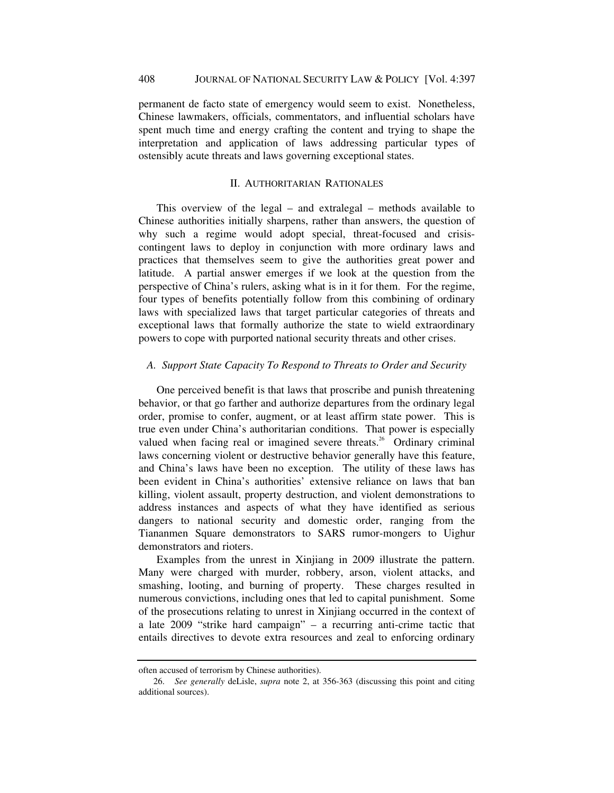permanent de facto state of emergency would seem to exist. Nonetheless, Chinese lawmakers, officials, commentators, and influential scholars have spent much time and energy crafting the content and trying to shape the interpretation and application of laws addressing particular types of ostensibly acute threats and laws governing exceptional states.

# II. AUTHORITARIAN RATIONALES

This overview of the legal – and extralegal – methods available to Chinese authorities initially sharpens, rather than answers, the question of why such a regime would adopt special, threat-focused and crisiscontingent laws to deploy in conjunction with more ordinary laws and practices that themselves seem to give the authorities great power and latitude. A partial answer emerges if we look at the question from the perspective of China's rulers, asking what is in it for them. For the regime, four types of benefits potentially follow from this combining of ordinary laws with specialized laws that target particular categories of threats and exceptional laws that formally authorize the state to wield extraordinary powers to cope with purported national security threats and other crises.

# *A. Support State Capacity To Respond to Threats to Order and Security*

One perceived benefit is that laws that proscribe and punish threatening behavior, or that go farther and authorize departures from the ordinary legal order, promise to confer, augment, or at least affirm state power. This is true even under China's authoritarian conditions. That power is especially valued when facing real or imagined severe threats.<sup>26</sup> Ordinary criminal laws concerning violent or destructive behavior generally have this feature, and China's laws have been no exception. The utility of these laws has been evident in China's authorities' extensive reliance on laws that ban killing, violent assault, property destruction, and violent demonstrations to address instances and aspects of what they have identified as serious dangers to national security and domestic order, ranging from the Tiananmen Square demonstrators to SARS rumor-mongers to Uighur demonstrators and rioters.

Examples from the unrest in Xinjiang in 2009 illustrate the pattern. Many were charged with murder, robbery, arson, violent attacks, and smashing, looting, and burning of property. These charges resulted in numerous convictions, including ones that led to capital punishment. Some of the prosecutions relating to unrest in Xinjiang occurred in the context of a late 2009 "strike hard campaign" – a recurring anti-crime tactic that entails directives to devote extra resources and zeal to enforcing ordinary

often accused of terrorism by Chinese authorities).

<sup>26.</sup> *See generally* deLisle, *supra* note 2, at 356-363 (discussing this point and citing additional sources).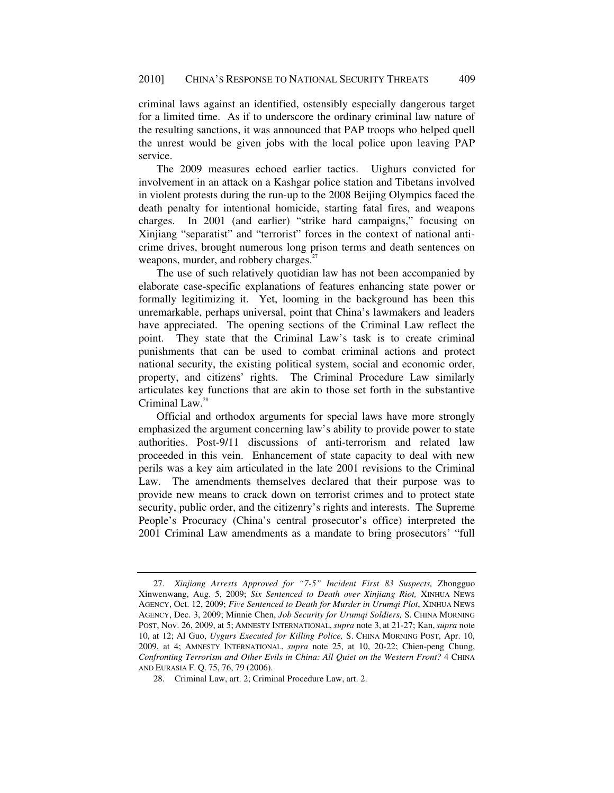criminal laws against an identified, ostensibly especially dangerous target for a limited time. As if to underscore the ordinary criminal law nature of the resulting sanctions, it was announced that PAP troops who helped quell the unrest would be given jobs with the local police upon leaving PAP service.

The 2009 measures echoed earlier tactics. Uighurs convicted for involvement in an attack on a Kashgar police station and Tibetans involved in violent protests during the run-up to the 2008 Beijing Olympics faced the death penalty for intentional homicide, starting fatal fires, and weapons charges. In 2001 (and earlier) "strike hard campaigns," focusing on Xinjiang "separatist" and "terrorist" forces in the context of national anticrime drives, brought numerous long prison terms and death sentences on weapons, murder, and robbery charges.<sup>27</sup>

The use of such relatively quotidian law has not been accompanied by elaborate case-specific explanations of features enhancing state power or formally legitimizing it. Yet, looming in the background has been this unremarkable, perhaps universal, point that China's lawmakers and leaders have appreciated. The opening sections of the Criminal Law reflect the point. They state that the Criminal Law's task is to create criminal punishments that can be used to combat criminal actions and protect national security, the existing political system, social and economic order, property, and citizens' rights. The Criminal Procedure Law similarly articulates key functions that are akin to those set forth in the substantive Criminal Law.<sup>28</sup>

Official and orthodox arguments for special laws have more strongly emphasized the argument concerning law's ability to provide power to state authorities. Post-9/11 discussions of anti-terrorism and related law proceeded in this vein. Enhancement of state capacity to deal with new perils was a key aim articulated in the late 2001 revisions to the Criminal Law. The amendments themselves declared that their purpose was to provide new means to crack down on terrorist crimes and to protect state security, public order, and the citizenry's rights and interests. The Supreme People's Procuracy (China's central prosecutor's office) interpreted the 2001 Criminal Law amendments as a mandate to bring prosecutors' "full

<sup>27.</sup> *Xinjiang Arrests Approved for "7-5" Incident First 83 Suspects,* Zhongguo Xinwenwang, Aug. 5, 2009; *Six Sentenced to Death over Xinjiang Riot,* XINHUA NEWS AGENCY, Oct. 12, 2009; *Five Sentenced to Death for Murder in Urumqi Plot*, XINHUA NEWS AGENCY, Dec. 3, 2009; Minnie Chen, *Job Security for Urumqi Soldiers,* S. CHINA MORNING POST, Nov. 26, 2009, at 5; AMNESTY INTERNATIONAL, *supra* note 3, at 21-27; Kan,*supra* note 10, at 12; Al Guo, *Uygurs Executed for Killing Police,* S. CHINA MORNING POST, Apr. 10, 2009, at 4; AMNESTY INTERNATIONAL, *supra* note 25, at 10, 20-22; Chien-peng Chung, *Confronting Terrorism and Other Evils in China: All Quiet on the Western Front?* 4 CHINA AND EURASIA F. Q. 75, 76, 79 (2006).

 <sup>28.</sup> Criminal Law, art. 2; Criminal Procedure Law, art. 2.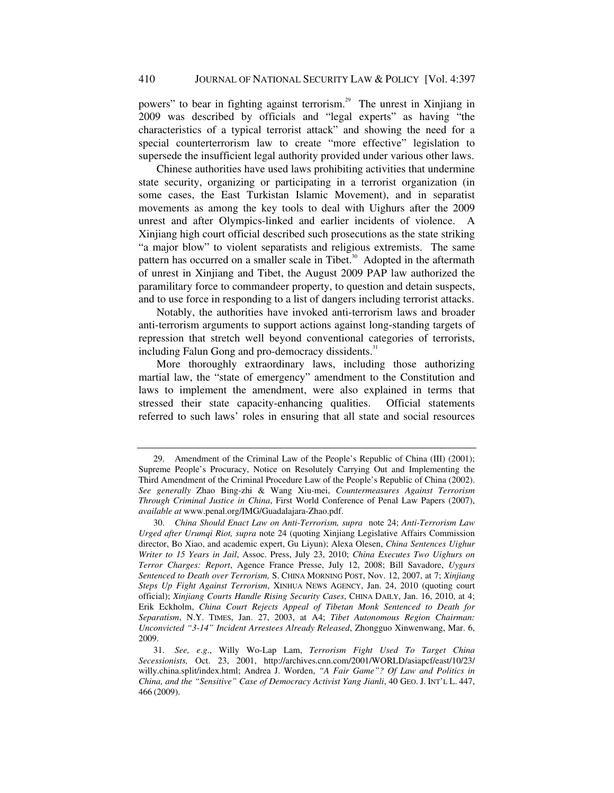powers" to bear in fighting against terrorism.29 The unrest in Xinjiang in 2009 was described by officials and "legal experts" as having "the characteristics of a typical terrorist attack" and showing the need for a special counterterrorism law to create "more effective" legislation to supersede the insufficient legal authority provided under various other laws.

Chinese authorities have used laws prohibiting activities that undermine state security, organizing or participating in a terrorist organization (in some cases, the East Turkistan Islamic Movement), and in separatist movements as among the key tools to deal with Uighurs after the 2009 unrest and after Olympics-linked and earlier incidents of violence. A Xinjiang high court official described such prosecutions as the state striking "a major blow" to violent separatists and religious extremists. The same pattern has occurred on a smaller scale in Tibet.<sup>30</sup> Adopted in the aftermath of unrest in Xinjiang and Tibet, the August 2009 PAP law authorized the paramilitary force to commandeer property, to question and detain suspects, and to use force in responding to a list of dangers including terrorist attacks.

Notably, the authorities have invoked anti-terrorism laws and broader anti-terrorism arguments to support actions against long-standing targets of repression that stretch well beyond conventional categories of terrorists, including Falun Gong and pro-democracy dissidents.<sup>31</sup>

More thoroughly extraordinary laws, including those authorizing martial law, the "state of emergency" amendment to the Constitution and laws to implement the amendment, were also explained in terms that stressed their state capacity-enhancing qualities. Official statements referred to such laws' roles in ensuring that all state and social resources

 <sup>29.</sup> Amendment of the Criminal Law of the People's Republic of China (III) (2001); Supreme People's Procuracy, Notice on Resolutely Carrying Out and Implementing the Third Amendment of the Criminal Procedure Law of the People's Republic of China (2002). *See generally* Zhao Bing-zhi & Wang Xiu-mei, *Countermeasures Against Terrorism Through Criminal Justice in China*, First World Conference of Penal Law Papers (2007), *available at* www.penal.org/IMG/Guadalajara-Zhao.pdf.

<sup>30.</sup> *China Should Enact Law on Anti-Terrorism, supra* note 24; *Anti-Terrorism Law Urged after Urumqi Riot, supra* note 24 (quoting Xinjiang Legislative Affairs Commission director, Bo Xiao, and academic expert, Gu Liyun); Alexa Olesen, *China Sentences Uighur Writer to 15 Years in Jail*, Assoc. Press, July 23, 2010; *China Executes Two Uighurs on Terror Charges: Report*, Agence France Presse, July 12, 2008; Bill Savadore, *Uygurs Sentenced to Death over Terrorism,* S. CHINA MORNING POST, Nov. 12, 2007, at 7; *Xinjiang Steps Up Fight Against Terrorism*, XINHUA NEWS AGENCY, Jan. 24, 2010 (quoting court official); *Xinjiang Courts Handle Rising Security Cases*, CHINA DAILY, Jan. 16, 2010, at 4; Erik Eckholm, *China Court Rejects Appeal of Tibetan Monk Sentenced to Death for Separatism*, N.Y. TIMES, Jan. 27, 2003, at A4; *Tibet Autonomous Region Chairman: Unconvicted "3-14" Incident Arrestees Already Released*, Zhongguo Xinwenwang, Mar. 6, 2009.

<sup>31.</sup> *See, e*.*g*., Willy Wo-Lap Lam, *Terrorism Fight Used To Target China Secessionists,* Oct. 23, 2001, http://archives.cnn.com/2001/WORLD/asiapcf/east/10/23/ willy.china.split/index.html; Andrea J. Worden, *"A Fair Game"? Of Law and Politics in China, and the "Sensitive" Case of Democracy Activist Yang Jianli*, 40 GEO. J. INT'L L. 447, 466 (2009).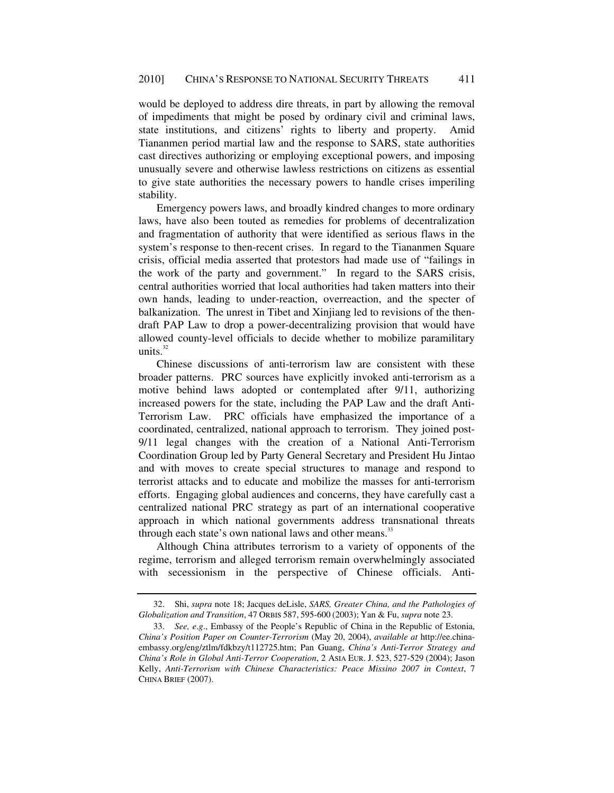would be deployed to address dire threats, in part by allowing the removal of impediments that might be posed by ordinary civil and criminal laws, state institutions, and citizens' rights to liberty and property. Amid Tiananmen period martial law and the response to SARS, state authorities cast directives authorizing or employing exceptional powers, and imposing unusually severe and otherwise lawless restrictions on citizens as essential to give state authorities the necessary powers to handle crises imperiling stability.

Emergency powers laws, and broadly kindred changes to more ordinary laws, have also been touted as remedies for problems of decentralization and fragmentation of authority that were identified as serious flaws in the system's response to then-recent crises. In regard to the Tiananmen Square crisis, official media asserted that protestors had made use of "failings in the work of the party and government." In regard to the SARS crisis, central authorities worried that local authorities had taken matters into their own hands, leading to under-reaction, overreaction, and the specter of balkanization. The unrest in Tibet and Xinjiang led to revisions of the thendraft PAP Law to drop a power-decentralizing provision that would have allowed county-level officials to decide whether to mobilize paramilitary units. $32$ 

Chinese discussions of anti-terrorism law are consistent with these broader patterns. PRC sources have explicitly invoked anti-terrorism as a motive behind laws adopted or contemplated after 9/11, authorizing increased powers for the state, including the PAP Law and the draft Anti-Terrorism Law. PRC officials have emphasized the importance of a coordinated, centralized, national approach to terrorism. They joined post-9/11 legal changes with the creation of a National Anti-Terrorism Coordination Group led by Party General Secretary and President Hu Jintao and with moves to create special structures to manage and respond to terrorist attacks and to educate and mobilize the masses for anti-terrorism efforts. Engaging global audiences and concerns, they have carefully cast a centralized national PRC strategy as part of an international cooperative approach in which national governments address transnational threats through each state's own national laws and other means.<sup>33</sup>

Although China attributes terrorism to a variety of opponents of the regime, terrorism and alleged terrorism remain overwhelmingly associated with secessionism in the perspective of Chinese officials. Anti-

 <sup>32.</sup> Shi, *supra* note 18; Jacques deLisle, *SARS, Greater China, and the Pathologies of Globalization and Transition*, 47 ORBIS 587, 595-600 (2003); Yan & Fu, *supra* note 23.

<sup>33.</sup> *See, e*.*g*., Embassy of the People's Republic of China in the Republic of Estonia, *China's Position Paper on Counter-Terrorism* (May 20, 2004), *available at* http://ee.chinaembassy.org/eng/ztlm/fdkbzy/t112725.htm; Pan Guang, *China's Anti-Terror Strategy and China's Role in Global Anti-Terror Cooperation*, 2 ASIA EUR. J. 523, 527-529 (2004); Jason Kelly, *Anti-Terrorism with Chinese Characteristics: Peace Missino 2007 in Context*, 7 CHINA BRIEF (2007).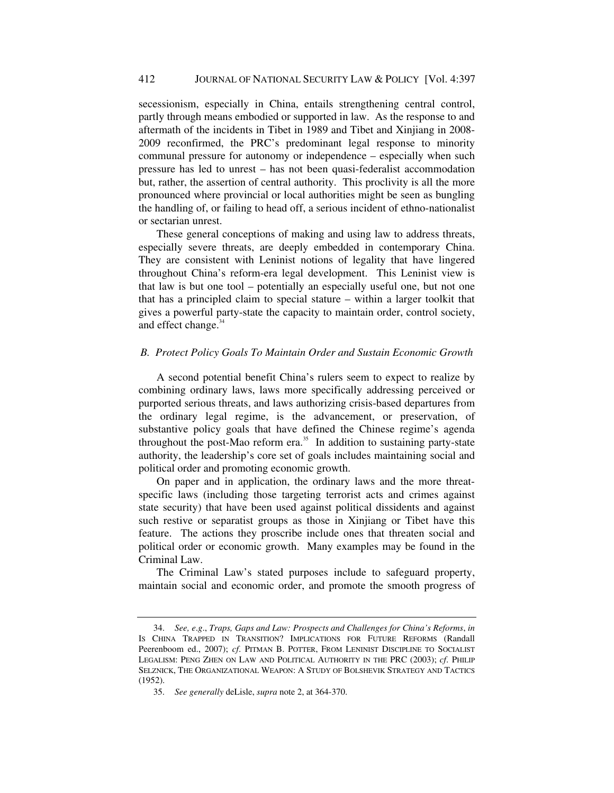secessionism, especially in China, entails strengthening central control, partly through means embodied or supported in law. As the response to and aftermath of the incidents in Tibet in 1989 and Tibet and Xinjiang in 2008- 2009 reconfirmed, the PRC's predominant legal response to minority communal pressure for autonomy or independence – especially when such pressure has led to unrest – has not been quasi-federalist accommodation but, rather, the assertion of central authority. This proclivity is all the more pronounced where provincial or local authorities might be seen as bungling the handling of, or failing to head off, a serious incident of ethno-nationalist or sectarian unrest.

These general conceptions of making and using law to address threats, especially severe threats, are deeply embedded in contemporary China. They are consistent with Leninist notions of legality that have lingered throughout China's reform-era legal development. This Leninist view is that law is but one tool – potentially an especially useful one, but not one that has a principled claim to special stature – within a larger toolkit that gives a powerful party-state the capacity to maintain order, control society, and effect change.<sup>34</sup>

# *B. Protect Policy Goals To Maintain Order and Sustain Economic Growth*

A second potential benefit China's rulers seem to expect to realize by combining ordinary laws, laws more specifically addressing perceived or purported serious threats, and laws authorizing crisis-based departures from the ordinary legal regime, is the advancement, or preservation, of substantive policy goals that have defined the Chinese regime's agenda throughout the post-Mao reform era. $35$  In addition to sustaining party-state authority, the leadership's core set of goals includes maintaining social and political order and promoting economic growth.

On paper and in application, the ordinary laws and the more threatspecific laws (including those targeting terrorist acts and crimes against state security) that have been used against political dissidents and against such restive or separatist groups as those in Xinjiang or Tibet have this feature. The actions they proscribe include ones that threaten social and political order or economic growth. Many examples may be found in the Criminal Law.

The Criminal Law's stated purposes include to safeguard property, maintain social and economic order, and promote the smooth progress of

<sup>34.</sup> *See, e*.*g*., *Traps, Gaps and Law: Prospects and Challenges for China's Reforms*, *in* IS CHINA TRAPPED IN TRANSITION? IMPLICATIONS FOR FUTURE REFORMS (Randall Peerenboom ed., 2007); *cf*. PITMAN B. POTTER, FROM LENINIST DISCIPLINE TO SOCIALIST LEGALISM: PENG ZHEN ON LAW AND POLITICAL AUTHORITY IN THE PRC (2003); *cf*. PHILIP SELZNICK, THE ORGANIZATIONAL WEAPON: A STUDY OF BOLSHEVIK STRATEGY AND TACTICS (1952).

<sup>35.</sup> *See generally* deLisle, *supra* note 2, at 364-370.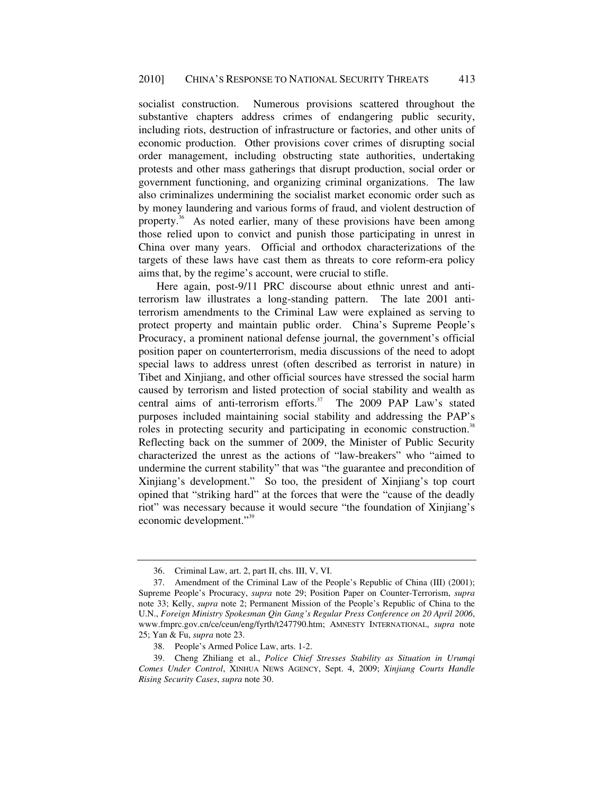socialist construction. Numerous provisions scattered throughout the substantive chapters address crimes of endangering public security, including riots, destruction of infrastructure or factories, and other units of economic production. Other provisions cover crimes of disrupting social order management, including obstructing state authorities, undertaking protests and other mass gatherings that disrupt production, social order or government functioning, and organizing criminal organizations. The law also criminalizes undermining the socialist market economic order such as by money laundering and various forms of fraud, and violent destruction of property.<sup>36</sup> As noted earlier, many of these provisions have been among those relied upon to convict and punish those participating in unrest in China over many years. Official and orthodox characterizations of the targets of these laws have cast them as threats to core reform-era policy aims that, by the regime's account, were crucial to stifle.

Here again, post-9/11 PRC discourse about ethnic unrest and antiterrorism law illustrates a long-standing pattern. The late 2001 antiterrorism amendments to the Criminal Law were explained as serving to protect property and maintain public order. China's Supreme People's Procuracy, a prominent national defense journal, the government's official position paper on counterterrorism, media discussions of the need to adopt special laws to address unrest (often described as terrorist in nature) in Tibet and Xinjiang, and other official sources have stressed the social harm caused by terrorism and listed protection of social stability and wealth as central aims of anti-terrorism efforts. $37$  The 2009 PAP Law's stated purposes included maintaining social stability and addressing the PAP's roles in protecting security and participating in economic construction.<sup>38</sup> Reflecting back on the summer of 2009, the Minister of Public Security characterized the unrest as the actions of "law-breakers" who "aimed to undermine the current stability" that was "the guarantee and precondition of Xinjiang's development." So too, the president of Xinjiang's top court opined that "striking hard" at the forces that were the "cause of the deadly riot" was necessary because it would secure "the foundation of Xinjiang's economic development."<sup>39</sup>

 <sup>36.</sup> Criminal Law, art. 2, part II, chs. III, V, VI.

 <sup>37.</sup> Amendment of the Criminal Law of the People's Republic of China (III) (2001); Supreme People's Procuracy, *supra* note 29; Position Paper on Counter-Terrorism, *supra* note 33; Kelly, *supra* note 2; Permanent Mission of the People's Republic of China to the U.N., *Foreign Ministry Spokesman Qin Gang's Regular Press Conference on 20 April 2006*, www.fmprc.gov.cn/ce/ceun/eng/fyrth/t247790.htm; AMNESTY INTERNATIONAL, *supra* note 25; Yan & Fu, *supra* note 23.

 <sup>38.</sup> People's Armed Police Law, arts. 1-2.

 <sup>39.</sup> Cheng Zhiliang et al., *Police Chief Stresses Stability as Situation in Urumqi Comes Under Control*, XINHUA NEWS AGENCY, Sept. 4, 2009; *Xinjiang Courts Handle Rising Security Cases*, *supra* note 30.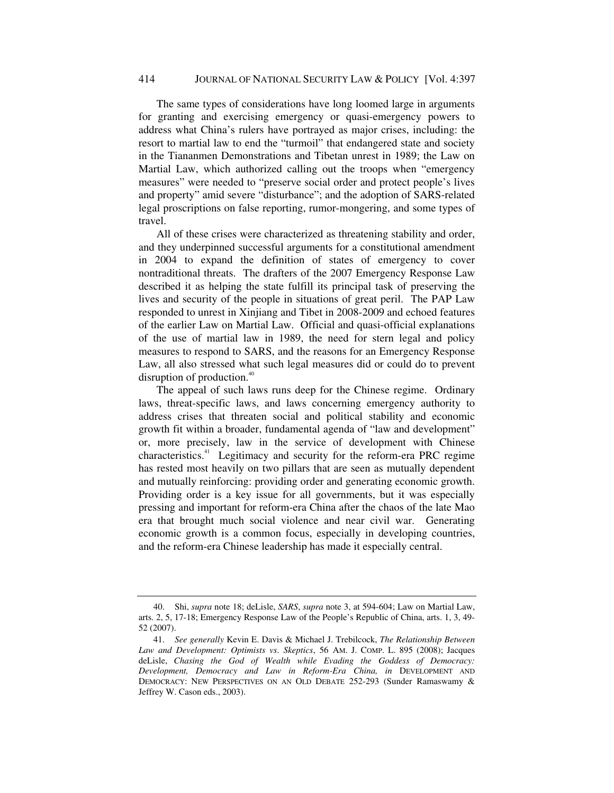The same types of considerations have long loomed large in arguments for granting and exercising emergency or quasi-emergency powers to address what China's rulers have portrayed as major crises, including: the resort to martial law to end the "turmoil" that endangered state and society in the Tiananmen Demonstrations and Tibetan unrest in 1989; the Law on Martial Law, which authorized calling out the troops when "emergency measures" were needed to "preserve social order and protect people's lives and property" amid severe "disturbance"; and the adoption of SARS-related legal proscriptions on false reporting, rumor-mongering, and some types of travel.

All of these crises were characterized as threatening stability and order, and they underpinned successful arguments for a constitutional amendment in 2004 to expand the definition of states of emergency to cover nontraditional threats. The drafters of the 2007 Emergency Response Law described it as helping the state fulfill its principal task of preserving the lives and security of the people in situations of great peril. The PAP Law responded to unrest in Xinjiang and Tibet in 2008-2009 and echoed features of the earlier Law on Martial Law. Official and quasi-official explanations of the use of martial law in 1989, the need for stern legal and policy measures to respond to SARS, and the reasons for an Emergency Response Law, all also stressed what such legal measures did or could do to prevent disruption of production.<sup>40</sup>

The appeal of such laws runs deep for the Chinese regime. Ordinary laws, threat-specific laws, and laws concerning emergency authority to address crises that threaten social and political stability and economic growth fit within a broader, fundamental agenda of "law and development" or, more precisely, law in the service of development with Chinese characteristics.41 Legitimacy and security for the reform-era PRC regime has rested most heavily on two pillars that are seen as mutually dependent and mutually reinforcing: providing order and generating economic growth. Providing order is a key issue for all governments, but it was especially pressing and important for reform-era China after the chaos of the late Mao era that brought much social violence and near civil war. Generating economic growth is a common focus, especially in developing countries, and the reform-era Chinese leadership has made it especially central.

 <sup>40.</sup> Shi, *supra* note 18; deLisle, *SARS*, *supra* note 3, at 594-604; Law on Martial Law, arts. 2, 5, 17-18; Emergency Response Law of the People's Republic of China, arts. 1, 3, 49- 52 (2007).

<sup>41.</sup> *See generally* Kevin E. Davis & Michael J. Trebilcock, *The Relationship Between Law and Development: Optimists vs*. *Skeptics*, 56 AM. J. COMP. L. 895 (2008); Jacques deLisle, *Chasing the God of Wealth while Evading the Goddess of Democracy: Development, Democracy and Law in Reform-Era China, in* DEVELOPMENT AND DEMOCRACY: NEW PERSPECTIVES ON AN OLD DEBATE 252-293 (Sunder Ramaswamy & Jeffrey W. Cason eds., 2003).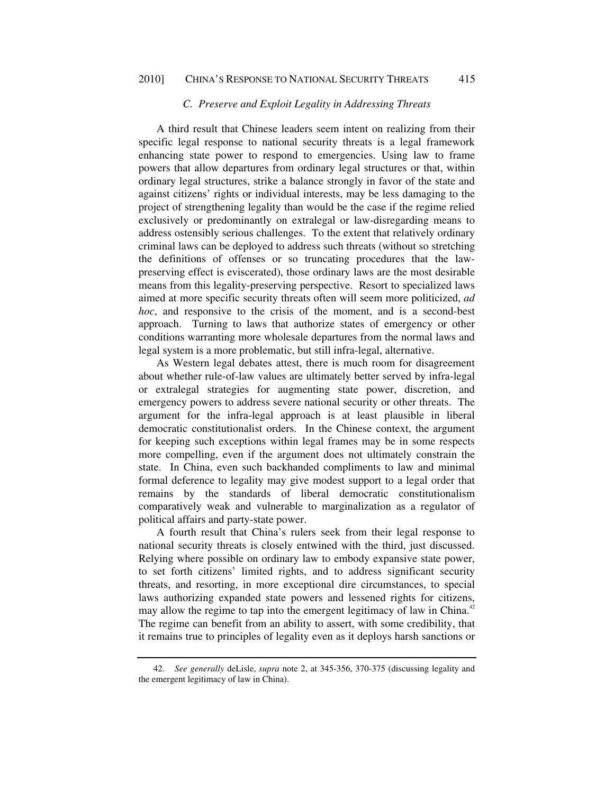# *C. Preserve and Exploit Legality in Addressing Threats*

A third result that Chinese leaders seem intent on realizing from their specific legal response to national security threats is a legal framework enhancing state power to respond to emergencies. Using law to frame powers that allow departures from ordinary legal structures or that, within ordinary legal structures, strike a balance strongly in favor of the state and against citizens' rights or individual interests, may be less damaging to the project of strengthening legality than would be the case if the regime relied exclusively or predominantly on extralegal or law-disregarding means to address ostensibly serious challenges. To the extent that relatively ordinary criminal laws can be deployed to address such threats (without so stretching the definitions of offenses or so truncating procedures that the lawpreserving effect is eviscerated), those ordinary laws are the most desirable means from this legality-preserving perspective. Resort to specialized laws aimed at more specific security threats often will seem more politicized, *ad hoc*, and responsive to the crisis of the moment, and is a second-best approach. Turning to laws that authorize states of emergency or other conditions warranting more wholesale departures from the normal laws and legal system is a more problematic, but still infra-legal, alternative.

As Western legal debates attest, there is much room for disagreement about whether rule-of-law values are ultimately better served by infra-legal or extralegal strategies for augmenting state power, discretion, and emergency powers to address severe national security or other threats. The argument for the infra-legal approach is at least plausible in liberal democratic constitutionalist orders. In the Chinese context, the argument for keeping such exceptions within legal frames may be in some respects more compelling, even if the argument does not ultimately constrain the state. In China, even such backhanded compliments to law and minimal formal deference to legality may give modest support to a legal order that remains by the standards of liberal democratic constitutionalism comparatively weak and vulnerable to marginalization as a regulator of political affairs and party-state power.

A fourth result that China's rulers seek from their legal response to national security threats is closely entwined with the third, just discussed. Relying where possible on ordinary law to embody expansive state power, to set forth citizens' limited rights, and to address significant security threats, and resorting, in more exceptional dire circumstances, to special laws authorizing expanded state powers and lessened rights for citizens, may allow the regime to tap into the emergent legitimacy of law in China.<sup>42</sup> The regime can benefit from an ability to assert, with some credibility, that it remains true to principles of legality even as it deploys harsh sanctions or

<sup>42.</sup> *See generally* deLisle, *supra* note 2, at 345-356, 370-375 (discussing legality and the emergent legitimacy of law in China).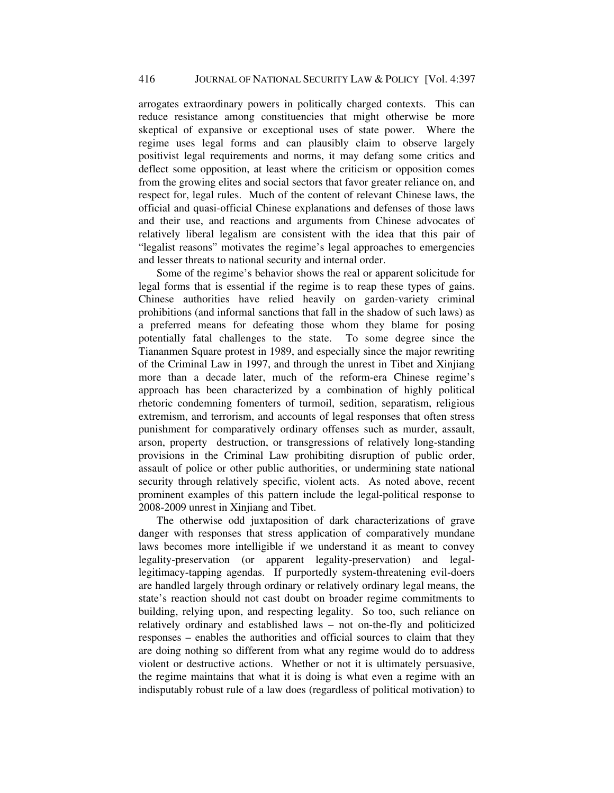arrogates extraordinary powers in politically charged contexts. This can reduce resistance among constituencies that might otherwise be more skeptical of expansive or exceptional uses of state power. Where the regime uses legal forms and can plausibly claim to observe largely positivist legal requirements and norms, it may defang some critics and deflect some opposition, at least where the criticism or opposition comes from the growing elites and social sectors that favor greater reliance on, and respect for, legal rules. Much of the content of relevant Chinese laws, the official and quasi-official Chinese explanations and defenses of those laws and their use, and reactions and arguments from Chinese advocates of relatively liberal legalism are consistent with the idea that this pair of "legalist reasons" motivates the regime's legal approaches to emergencies and lesser threats to national security and internal order.

Some of the regime's behavior shows the real or apparent solicitude for legal forms that is essential if the regime is to reap these types of gains. Chinese authorities have relied heavily on garden-variety criminal prohibitions (and informal sanctions that fall in the shadow of such laws) as a preferred means for defeating those whom they blame for posing potentially fatal challenges to the state. To some degree since the Tiananmen Square protest in 1989, and especially since the major rewriting of the Criminal Law in 1997, and through the unrest in Tibet and Xinjiang more than a decade later, much of the reform-era Chinese regime's approach has been characterized by a combination of highly political rhetoric condemning fomenters of turmoil, sedition, separatism, religious extremism, and terrorism, and accounts of legal responses that often stress punishment for comparatively ordinary offenses such as murder, assault, arson, property destruction, or transgressions of relatively long-standing provisions in the Criminal Law prohibiting disruption of public order, assault of police or other public authorities, or undermining state national security through relatively specific, violent acts. As noted above, recent prominent examples of this pattern include the legal-political response to 2008-2009 unrest in Xinjiang and Tibet.

The otherwise odd juxtaposition of dark characterizations of grave danger with responses that stress application of comparatively mundane laws becomes more intelligible if we understand it as meant to convey legality-preservation (or apparent legality-preservation) and legallegitimacy-tapping agendas. If purportedly system-threatening evil-doers are handled largely through ordinary or relatively ordinary legal means, the state's reaction should not cast doubt on broader regime commitments to building, relying upon, and respecting legality. So too, such reliance on relatively ordinary and established laws – not on-the-fly and politicized responses – enables the authorities and official sources to claim that they are doing nothing so different from what any regime would do to address violent or destructive actions. Whether or not it is ultimately persuasive, the regime maintains that what it is doing is what even a regime with an indisputably robust rule of a law does (regardless of political motivation) to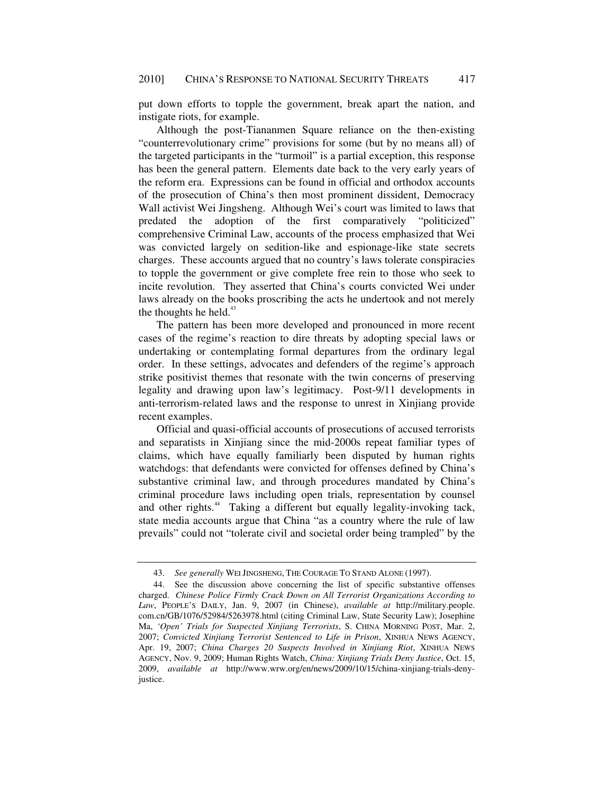put down efforts to topple the government, break apart the nation, and instigate riots, for example.

Although the post-Tiananmen Square reliance on the then-existing "counterrevolutionary crime" provisions for some (but by no means all) of the targeted participants in the "turmoil" is a partial exception, this response has been the general pattern. Elements date back to the very early years of the reform era. Expressions can be found in official and orthodox accounts of the prosecution of China's then most prominent dissident, Democracy Wall activist Wei Jingsheng. Although Wei's court was limited to laws that predated the adoption of the first comparatively "politicized" comprehensive Criminal Law, accounts of the process emphasized that Wei was convicted largely on sedition-like and espionage-like state secrets charges. These accounts argued that no country's laws tolerate conspiracies to topple the government or give complete free rein to those who seek to incite revolution. They asserted that China's courts convicted Wei under laws already on the books proscribing the acts he undertook and not merely the thoughts he held. $43$ 

The pattern has been more developed and pronounced in more recent cases of the regime's reaction to dire threats by adopting special laws or undertaking or contemplating formal departures from the ordinary legal order. In these settings, advocates and defenders of the regime's approach strike positivist themes that resonate with the twin concerns of preserving legality and drawing upon law's legitimacy. Post-9/11 developments in anti-terrorism-related laws and the response to unrest in Xinjiang provide recent examples.

Official and quasi-official accounts of prosecutions of accused terrorists and separatists in Xinjiang since the mid-2000s repeat familiar types of claims, which have equally familiarly been disputed by human rights watchdogs: that defendants were convicted for offenses defined by China's substantive criminal law, and through procedures mandated by China's criminal procedure laws including open trials, representation by counsel and other rights.<sup>44</sup> Taking a different but equally legality-invoking tack, state media accounts argue that China "as a country where the rule of law prevails" could not "tolerate civil and societal order being trampled" by the

<sup>43.</sup> *See generally* WEI JINGSHENG, THE COURAGE TO STAND ALONE (1997).

 <sup>44.</sup> See the discussion above concerning the list of specific substantive offenses charged. *Chinese Police Firmly Crack Down on All Terrorist Organizations According to Law*, PEOPLE'S DAILY, Jan. 9, 2007 (in Chinese), *available at* http://military.people. com.cn/GB/1076/52984/5263978.html (citing Criminal Law, State Security Law); Josephine Ma, *'Open' Trials for Suspected Xinjiang Terrorists*, S. CHINA MORNING POST, Mar. 2, 2007; *Convicted Xinjiang Terrorist Sentenced to Life in Prison*, XINHUA NEWS AGENCY, Apr. 19, 2007; *China Charges 20 Suspects Involved in Xinjiang Riot*, XINHUA NEWS AGENCY, Nov. 9, 2009; Human Rights Watch, *China: Xinjiang Trials Deny Justice*, Oct. 15, 2009, *available at* http://www.wrw.org/en/news/2009/10/15/china-xinjiang-trials-denyjustice.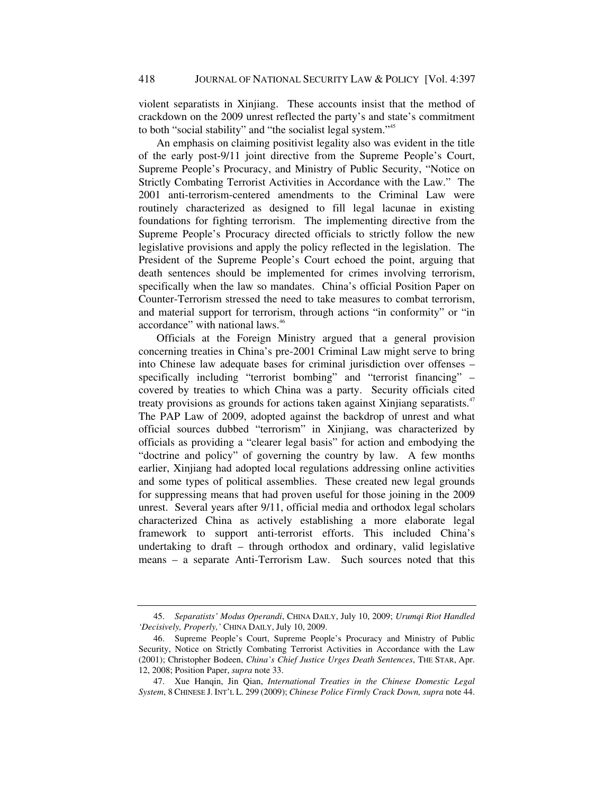violent separatists in Xinjiang. These accounts insist that the method of crackdown on the 2009 unrest reflected the party's and state's commitment to both "social stability" and "the socialist legal system."<sup>45</sup>

An emphasis on claiming positivist legality also was evident in the title of the early post-9/11 joint directive from the Supreme People's Court, Supreme People's Procuracy, and Ministry of Public Security, "Notice on Strictly Combating Terrorist Activities in Accordance with the Law." The 2001 anti-terrorism-centered amendments to the Criminal Law were routinely characterized as designed to fill legal lacunae in existing foundations for fighting terrorism. The implementing directive from the Supreme People's Procuracy directed officials to strictly follow the new legislative provisions and apply the policy reflected in the legislation. The President of the Supreme People's Court echoed the point, arguing that death sentences should be implemented for crimes involving terrorism, specifically when the law so mandates. China's official Position Paper on Counter-Terrorism stressed the need to take measures to combat terrorism, and material support for terrorism, through actions "in conformity" or "in accordance" with national laws.<sup>46</sup>

Officials at the Foreign Ministry argued that a general provision concerning treaties in China's pre-2001 Criminal Law might serve to bring into Chinese law adequate bases for criminal jurisdiction over offenses – specifically including "terrorist bombing" and "terrorist financing" – covered by treaties to which China was a party. Security officials cited treaty provisions as grounds for actions taken against Xinjiang separatists.<sup>47</sup> The PAP Law of 2009, adopted against the backdrop of unrest and what official sources dubbed "terrorism" in Xinjiang, was characterized by officials as providing a "clearer legal basis" for action and embodying the "doctrine and policy" of governing the country by law. A few months earlier, Xinjiang had adopted local regulations addressing online activities and some types of political assemblies. These created new legal grounds for suppressing means that had proven useful for those joining in the 2009 unrest. Several years after 9/11, official media and orthodox legal scholars characterized China as actively establishing a more elaborate legal framework to support anti-terrorist efforts. This included China's undertaking to draft – through orthodox and ordinary, valid legislative means – a separate Anti-Terrorism Law. Such sources noted that this

<sup>45.</sup> *Separatists' Modus Operandi*, CHINA DAILY, July 10, 2009; *Urumqi Riot Handled 'Decisively, Properly,'* CHINA DAILY, July 10, 2009.

 <sup>46.</sup> Supreme People's Court, Supreme People's Procuracy and Ministry of Public Security, Notice on Strictly Combating Terrorist Activities in Accordance with the Law (2001); Christopher Bodeen, *China's Chief Justice Urges Death Sentences*, THE STAR, Apr. 12, 2008; Position Paper, *supra* note 33.

 <sup>47.</sup> Xue Hanqin, Jin Qian, *International Treaties in the Chinese Domestic Legal System*, 8 CHINESE J. INT'L L. 299 (2009); *Chinese Police Firmly Crack Down, supra* note 44.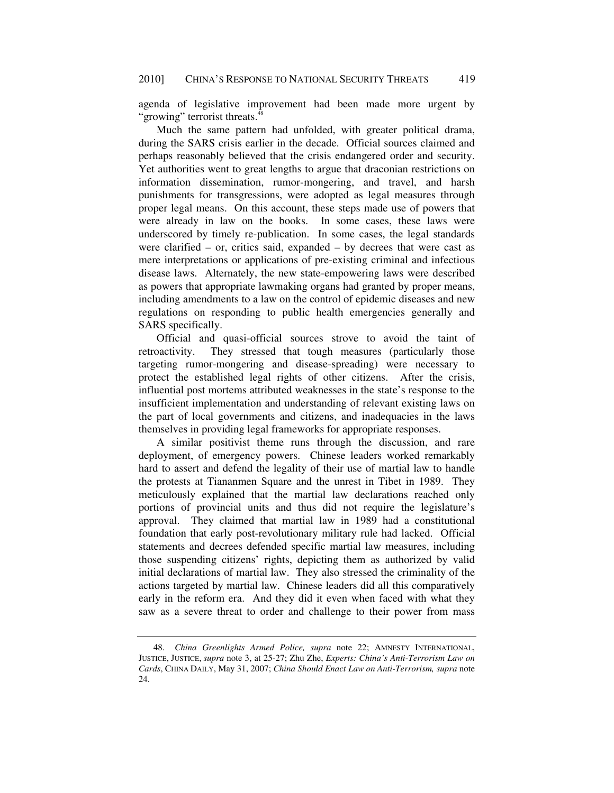agenda of legislative improvement had been made more urgent by "growing" terrorist threats.<sup>48</sup>

Much the same pattern had unfolded, with greater political drama, during the SARS crisis earlier in the decade. Official sources claimed and perhaps reasonably believed that the crisis endangered order and security. Yet authorities went to great lengths to argue that draconian restrictions on information dissemination, rumor-mongering, and travel, and harsh punishments for transgressions, were adopted as legal measures through proper legal means. On this account, these steps made use of powers that were already in law on the books. In some cases, these laws were underscored by timely re-publication. In some cases, the legal standards were clarified – or, critics said, expanded – by decrees that were cast as mere interpretations or applications of pre-existing criminal and infectious disease laws. Alternately, the new state-empowering laws were described as powers that appropriate lawmaking organs had granted by proper means, including amendments to a law on the control of epidemic diseases and new regulations on responding to public health emergencies generally and SARS specifically.

Official and quasi-official sources strove to avoid the taint of retroactivity. They stressed that tough measures (particularly those targeting rumor-mongering and disease-spreading) were necessary to protect the established legal rights of other citizens. After the crisis, influential post mortems attributed weaknesses in the state's response to the insufficient implementation and understanding of relevant existing laws on the part of local governments and citizens, and inadequacies in the laws themselves in providing legal frameworks for appropriate responses.

A similar positivist theme runs through the discussion, and rare deployment, of emergency powers. Chinese leaders worked remarkably hard to assert and defend the legality of their use of martial law to handle the protests at Tiananmen Square and the unrest in Tibet in 1989. They meticulously explained that the martial law declarations reached only portions of provincial units and thus did not require the legislature's approval. They claimed that martial law in 1989 had a constitutional foundation that early post-revolutionary military rule had lacked. Official statements and decrees defended specific martial law measures, including those suspending citizens' rights, depicting them as authorized by valid initial declarations of martial law. They also stressed the criminality of the actions targeted by martial law. Chinese leaders did all this comparatively early in the reform era. And they did it even when faced with what they saw as a severe threat to order and challenge to their power from mass

<sup>48.</sup> *China Greenlights Armed Police, supra* note 22; AMNESTY INTERNATIONAL, JUSTICE, JUSTICE, *supra* note 3, at 25-27; Zhu Zhe, *Experts: China's Anti-Terrorism Law on Cards*, CHINA DAILY, May 31, 2007; *China Should Enact Law on Anti-Terrorism, supra* note 24.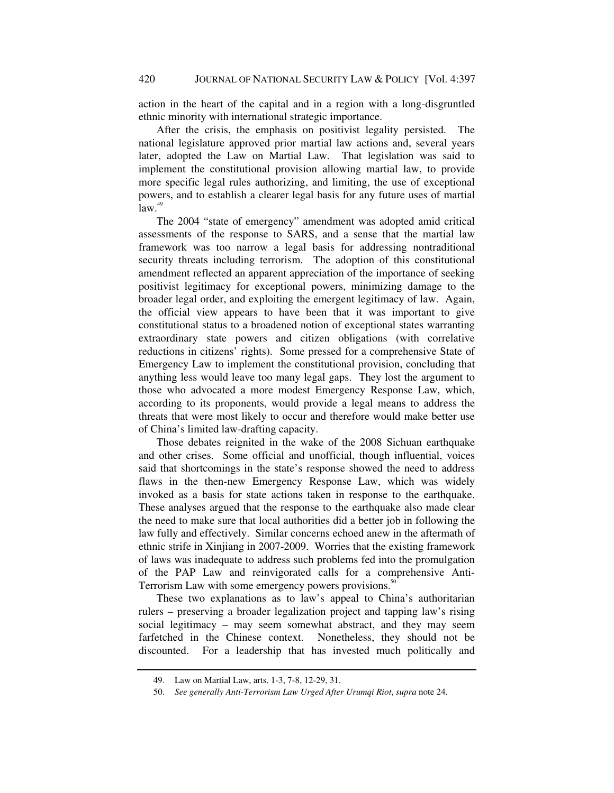action in the heart of the capital and in a region with a long-disgruntled ethnic minority with international strategic importance.

After the crisis, the emphasis on positivist legality persisted. The national legislature approved prior martial law actions and, several years later, adopted the Law on Martial Law. That legislation was said to implement the constitutional provision allowing martial law, to provide more specific legal rules authorizing, and limiting, the use of exceptional powers, and to establish a clearer legal basis for any future uses of martial  $law.<sup>49</sup>$ 

The 2004 "state of emergency" amendment was adopted amid critical assessments of the response to SARS, and a sense that the martial law framework was too narrow a legal basis for addressing nontraditional security threats including terrorism. The adoption of this constitutional amendment reflected an apparent appreciation of the importance of seeking positivist legitimacy for exceptional powers, minimizing damage to the broader legal order, and exploiting the emergent legitimacy of law. Again, the official view appears to have been that it was important to give constitutional status to a broadened notion of exceptional states warranting extraordinary state powers and citizen obligations (with correlative reductions in citizens' rights). Some pressed for a comprehensive State of Emergency Law to implement the constitutional provision, concluding that anything less would leave too many legal gaps. They lost the argument to those who advocated a more modest Emergency Response Law, which, according to its proponents, would provide a legal means to address the threats that were most likely to occur and therefore would make better use of China's limited law-drafting capacity.

Those debates reignited in the wake of the 2008 Sichuan earthquake and other crises. Some official and unofficial, though influential, voices said that shortcomings in the state's response showed the need to address flaws in the then-new Emergency Response Law, which was widely invoked as a basis for state actions taken in response to the earthquake. These analyses argued that the response to the earthquake also made clear the need to make sure that local authorities did a better job in following the law fully and effectively. Similar concerns echoed anew in the aftermath of ethnic strife in Xinjiang in 2007-2009. Worries that the existing framework of laws was inadequate to address such problems fed into the promulgation of the PAP Law and reinvigorated calls for a comprehensive Anti-Terrorism Law with some emergency powers provisions.<sup>50</sup>

These two explanations as to law's appeal to China's authoritarian rulers – preserving a broader legalization project and tapping law's rising social legitimacy – may seem somewhat abstract, and they may seem farfetched in the Chinese context. Nonetheless, they should not be discounted. For a leadership that has invested much politically and

 <sup>49.</sup> Law on Martial Law, arts. 1-3, 7-8, 12-29, 31.

<sup>50.</sup> *See generally Anti-Terrorism Law Urged After Urumqi Riot*, *supra* note 24.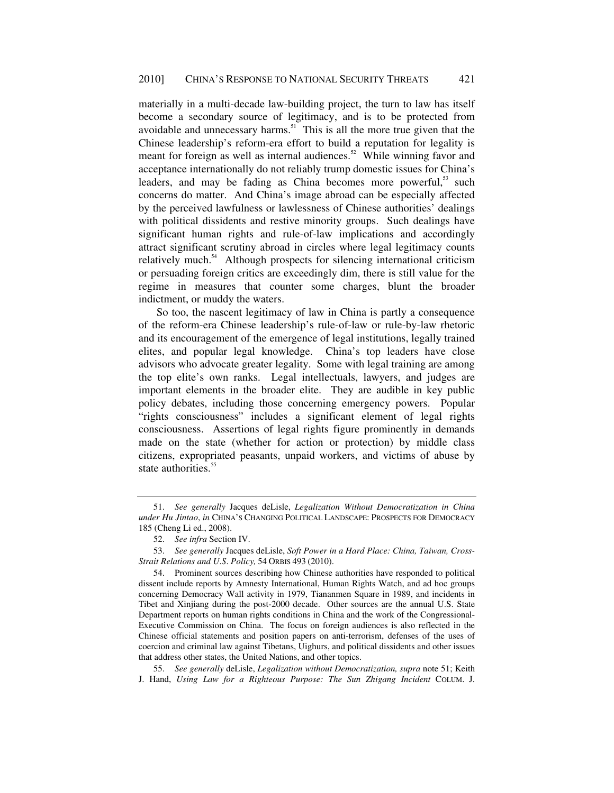materially in a multi-decade law-building project, the turn to law has itself become a secondary source of legitimacy, and is to be protected from avoidable and unnecessary harms. $51$  This is all the more true given that the Chinese leadership's reform-era effort to build a reputation for legality is meant for foreign as well as internal audiences.<sup>52</sup> While winning favor and acceptance internationally do not reliably trump domestic issues for China's leaders, and may be fading as China becomes more powerful,<sup>53</sup> such concerns do matter. And China's image abroad can be especially affected by the perceived lawfulness or lawlessness of Chinese authorities' dealings with political dissidents and restive minority groups. Such dealings have significant human rights and rule-of-law implications and accordingly attract significant scrutiny abroad in circles where legal legitimacy counts relatively much.<sup>54</sup> Although prospects for silencing international criticism or persuading foreign critics are exceedingly dim, there is still value for the regime in measures that counter some charges, blunt the broader indictment, or muddy the waters.

So too, the nascent legitimacy of law in China is partly a consequence of the reform-era Chinese leadership's rule-of-law or rule-by-law rhetoric and its encouragement of the emergence of legal institutions, legally trained elites, and popular legal knowledge. China's top leaders have close advisors who advocate greater legality. Some with legal training are among the top elite's own ranks. Legal intellectuals, lawyers, and judges are important elements in the broader elite. They are audible in key public policy debates, including those concerning emergency powers. Popular "rights consciousness" includes a significant element of legal rights consciousness. Assertions of legal rights figure prominently in demands made on the state (whether for action or protection) by middle class citizens, expropriated peasants, unpaid workers, and victims of abuse by state authorities.<sup>55</sup>

55. *See generally* deLisle, *Legalization without Democratization, supra* note 51; Keith J. Hand, *Using Law for a Righteous Purpose: The Sun Zhigang Incident* COLUM. J.

<sup>51.</sup> *See generally* Jacques deLisle, *Legalization Without Democratization in China under Hu Jintao*, *in* CHINA'S CHANGING POLITICAL LANDSCAPE: PROSPECTS FOR DEMOCRACY 185 (Cheng Li ed., 2008).

<sup>52.</sup> *See infra* Section IV.

<sup>53.</sup> *See generally* Jacques deLisle, *Soft Power in a Hard Place: China, Taiwan, Cross-Strait Relations and U*.*S*. *Policy,* 54 ORBIS 493 (2010).

 <sup>54.</sup> Prominent sources describing how Chinese authorities have responded to political dissent include reports by Amnesty International, Human Rights Watch, and ad hoc groups concerning Democracy Wall activity in 1979, Tiananmen Square in 1989, and incidents in Tibet and Xinjiang during the post-2000 decade. Other sources are the annual U.S. State Department reports on human rights conditions in China and the work of the Congressional-Executive Commission on China. The focus on foreign audiences is also reflected in the Chinese official statements and position papers on anti-terrorism, defenses of the uses of coercion and criminal law against Tibetans, Uighurs, and political dissidents and other issues that address other states, the United Nations, and other topics.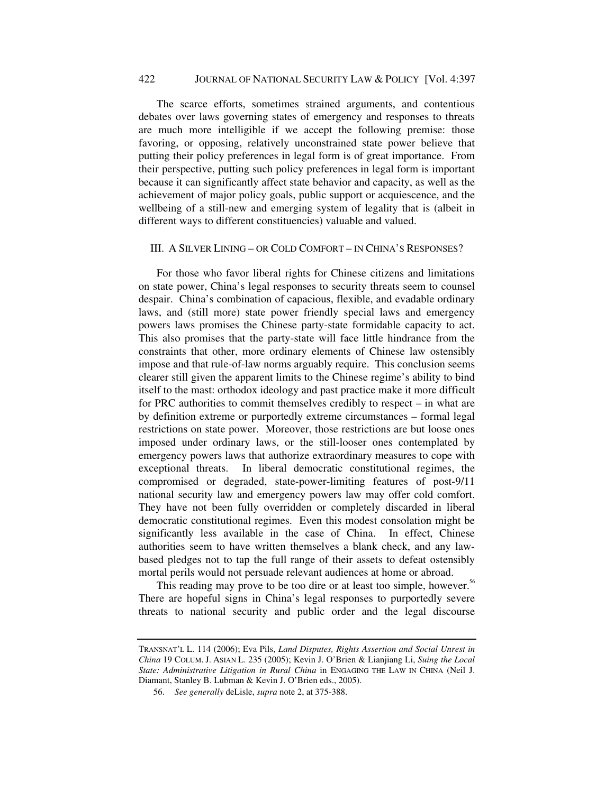# 422 JOURNAL OF NATIONAL SECURITY LAW & POLICY[Vol. 4:397

The scarce efforts, sometimes strained arguments, and contentious debates over laws governing states of emergency and responses to threats are much more intelligible if we accept the following premise: those favoring, or opposing, relatively unconstrained state power believe that putting their policy preferences in legal form is of great importance. From their perspective, putting such policy preferences in legal form is important because it can significantly affect state behavior and capacity, as well as the achievement of major policy goals, public support or acquiescence, and the wellbeing of a still-new and emerging system of legality that is (albeit in different ways to different constituencies) valuable and valued.

### III. A SILVER LINING – OR COLD COMFORT – IN CHINA'S RESPONSES?

For those who favor liberal rights for Chinese citizens and limitations on state power, China's legal responses to security threats seem to counsel despair. China's combination of capacious, flexible, and evadable ordinary laws, and (still more) state power friendly special laws and emergency powers laws promises the Chinese party-state formidable capacity to act. This also promises that the party-state will face little hindrance from the constraints that other, more ordinary elements of Chinese law ostensibly impose and that rule-of-law norms arguably require. This conclusion seems clearer still given the apparent limits to the Chinese regime's ability to bind itself to the mast: orthodox ideology and past practice make it more difficult for PRC authorities to commit themselves credibly to respect – in what are by definition extreme or purportedly extreme circumstances – formal legal restrictions on state power. Moreover, those restrictions are but loose ones imposed under ordinary laws, or the still-looser ones contemplated by emergency powers laws that authorize extraordinary measures to cope with exceptional threats. In liberal democratic constitutional regimes, the compromised or degraded, state-power-limiting features of post-9/11 national security law and emergency powers law may offer cold comfort. They have not been fully overridden or completely discarded in liberal democratic constitutional regimes. Even this modest consolation might be significantly less available in the case of China. In effect, Chinese authorities seem to have written themselves a blank check, and any lawbased pledges not to tap the full range of their assets to defeat ostensibly mortal perils would not persuade relevant audiences at home or abroad.

This reading may prove to be too dire or at least too simple, however.<sup>56</sup> There are hopeful signs in China's legal responses to purportedly severe threats to national security and public order and the legal discourse

TRANSNAT'L L. 114 (2006); Eva Pils, *Land Disputes, Rights Assertion and Social Unrest in China* 19 COLUM. J. ASIAN L. 235 (2005); Kevin J. O'Brien & Lianjiang Li, *Suing the Local State: Administrative Litigation in Rural China* in ENGAGING THE LAW IN CHINA (Neil J. Diamant, Stanley B. Lubman & Kevin J. O'Brien eds., 2005).

<sup>56.</sup> *See generally* deLisle, *supra* note 2, at 375-388.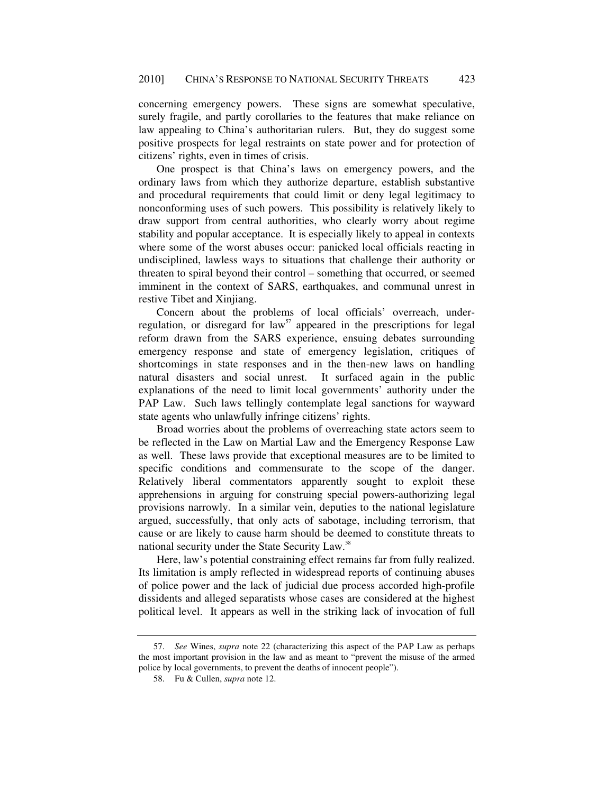concerning emergency powers. These signs are somewhat speculative, surely fragile, and partly corollaries to the features that make reliance on law appealing to China's authoritarian rulers. But, they do suggest some positive prospects for legal restraints on state power and for protection of citizens' rights, even in times of crisis.

One prospect is that China's laws on emergency powers, and the ordinary laws from which they authorize departure, establish substantive and procedural requirements that could limit or deny legal legitimacy to nonconforming uses of such powers. This possibility is relatively likely to draw support from central authorities, who clearly worry about regime stability and popular acceptance. It is especially likely to appeal in contexts where some of the worst abuses occur: panicked local officials reacting in undisciplined, lawless ways to situations that challenge their authority or threaten to spiral beyond their control – something that occurred, or seemed imminent in the context of SARS, earthquakes, and communal unrest in restive Tibet and Xinjiang.

Concern about the problems of local officials' overreach, underregulation, or disregard for law<sup>57</sup> appeared in the prescriptions for legal reform drawn from the SARS experience, ensuing debates surrounding emergency response and state of emergency legislation, critiques of shortcomings in state responses and in the then-new laws on handling natural disasters and social unrest. It surfaced again in the public explanations of the need to limit local governments' authority under the PAP Law. Such laws tellingly contemplate legal sanctions for wayward state agents who unlawfully infringe citizens' rights.

Broad worries about the problems of overreaching state actors seem to be reflected in the Law on Martial Law and the Emergency Response Law as well. These laws provide that exceptional measures are to be limited to specific conditions and commensurate to the scope of the danger. Relatively liberal commentators apparently sought to exploit these apprehensions in arguing for construing special powers-authorizing legal provisions narrowly. In a similar vein, deputies to the national legislature argued, successfully, that only acts of sabotage, including terrorism, that cause or are likely to cause harm should be deemed to constitute threats to national security under the State Security Law.<sup>58</sup>

Here, law's potential constraining effect remains far from fully realized. Its limitation is amply reflected in widespread reports of continuing abuses of police power and the lack of judicial due process accorded high-profile dissidents and alleged separatists whose cases are considered at the highest political level. It appears as well in the striking lack of invocation of full

<sup>57.</sup> *See* Wines, *supra* note 22 (characterizing this aspect of the PAP Law as perhaps the most important provision in the law and as meant to "prevent the misuse of the armed police by local governments, to prevent the deaths of innocent people").

 <sup>58.</sup> Fu & Cullen, *supra* note 12.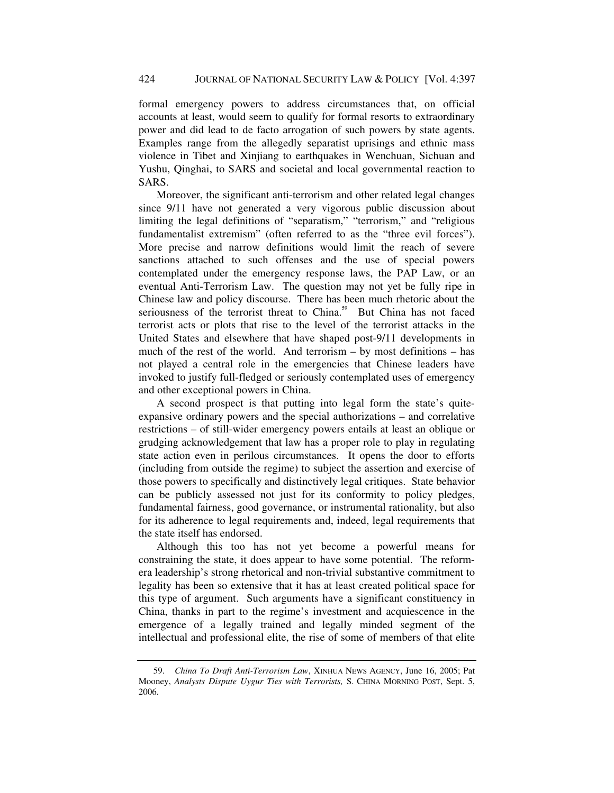formal emergency powers to address circumstances that, on official accounts at least, would seem to qualify for formal resorts to extraordinary power and did lead to de facto arrogation of such powers by state agents. Examples range from the allegedly separatist uprisings and ethnic mass violence in Tibet and Xinjiang to earthquakes in Wenchuan, Sichuan and Yushu, Qinghai, to SARS and societal and local governmental reaction to SARS.

Moreover, the significant anti-terrorism and other related legal changes since 9/11 have not generated a very vigorous public discussion about limiting the legal definitions of "separatism," "terrorism," and "religious fundamentalist extremism" (often referred to as the "three evil forces"). More precise and narrow definitions would limit the reach of severe sanctions attached to such offenses and the use of special powers contemplated under the emergency response laws, the PAP Law, or an eventual Anti-Terrorism Law. The question may not yet be fully ripe in Chinese law and policy discourse. There has been much rhetoric about the seriousness of the terrorist threat to China.<sup>59</sup> But China has not faced terrorist acts or plots that rise to the level of the terrorist attacks in the United States and elsewhere that have shaped post-9/11 developments in much of the rest of the world. And terrorism – by most definitions – has not played a central role in the emergencies that Chinese leaders have invoked to justify full-fledged or seriously contemplated uses of emergency and other exceptional powers in China.

A second prospect is that putting into legal form the state's quiteexpansive ordinary powers and the special authorizations – and correlative restrictions – of still-wider emergency powers entails at least an oblique or grudging acknowledgement that law has a proper role to play in regulating state action even in perilous circumstances. It opens the door to efforts (including from outside the regime) to subject the assertion and exercise of those powers to specifically and distinctively legal critiques. State behavior can be publicly assessed not just for its conformity to policy pledges, fundamental fairness, good governance, or instrumental rationality, but also for its adherence to legal requirements and, indeed, legal requirements that the state itself has endorsed.

Although this too has not yet become a powerful means for constraining the state, it does appear to have some potential. The reformera leadership's strong rhetorical and non-trivial substantive commitment to legality has been so extensive that it has at least created political space for this type of argument. Such arguments have a significant constituency in China, thanks in part to the regime's investment and acquiescence in the emergence of a legally trained and legally minded segment of the intellectual and professional elite, the rise of some of members of that elite

<sup>59.</sup> *China To Draft Anti-Terrorism Law*, XINHUA NEWS AGENCY, June 16, 2005; Pat Mooney, *Analysts Dispute Uygur Ties with Terrorists,* S. CHINA MORNING POST, Sept. 5, 2006.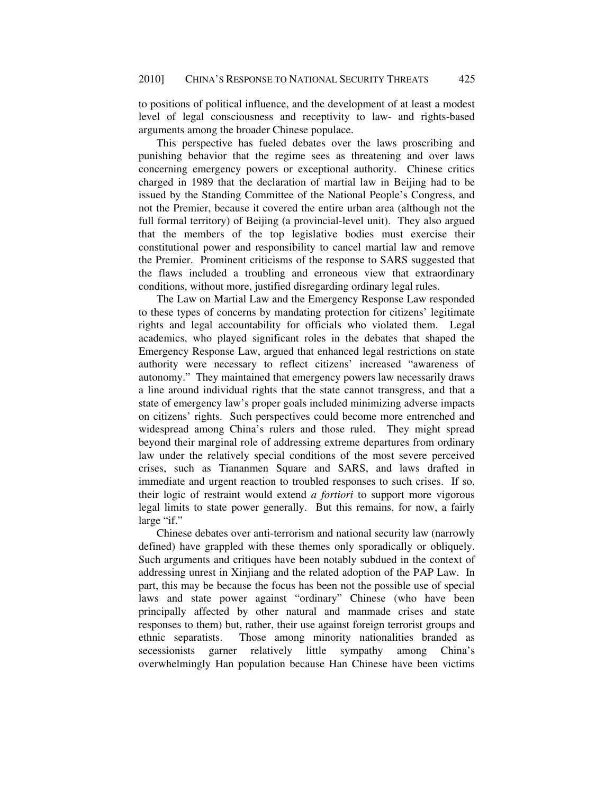to positions of political influence, and the development of at least a modest level of legal consciousness and receptivity to law- and rights-based arguments among the broader Chinese populace.

This perspective has fueled debates over the laws proscribing and punishing behavior that the regime sees as threatening and over laws concerning emergency powers or exceptional authority. Chinese critics charged in 1989 that the declaration of martial law in Beijing had to be issued by the Standing Committee of the National People's Congress, and not the Premier, because it covered the entire urban area (although not the full formal territory) of Beijing (a provincial-level unit). They also argued that the members of the top legislative bodies must exercise their constitutional power and responsibility to cancel martial law and remove the Premier. Prominent criticisms of the response to SARS suggested that the flaws included a troubling and erroneous view that extraordinary conditions, without more, justified disregarding ordinary legal rules.

The Law on Martial Law and the Emergency Response Law responded to these types of concerns by mandating protection for citizens' legitimate rights and legal accountability for officials who violated them. Legal academics, who played significant roles in the debates that shaped the Emergency Response Law, argued that enhanced legal restrictions on state authority were necessary to reflect citizens' increased "awareness of autonomy." They maintained that emergency powers law necessarily draws a line around individual rights that the state cannot transgress, and that a state of emergency law's proper goals included minimizing adverse impacts on citizens' rights. Such perspectives could become more entrenched and widespread among China's rulers and those ruled. They might spread beyond their marginal role of addressing extreme departures from ordinary law under the relatively special conditions of the most severe perceived crises, such as Tiananmen Square and SARS, and laws drafted in immediate and urgent reaction to troubled responses to such crises. If so, their logic of restraint would extend *a fortiori* to support more vigorous legal limits to state power generally. But this remains, for now, a fairly large "if."

Chinese debates over anti-terrorism and national security law (narrowly defined) have grappled with these themes only sporadically or obliquely. Such arguments and critiques have been notably subdued in the context of addressing unrest in Xinjiang and the related adoption of the PAP Law. In part, this may be because the focus has been not the possible use of special laws and state power against "ordinary" Chinese (who have been principally affected by other natural and manmade crises and state responses to them) but, rather, their use against foreign terrorist groups and ethnic separatists. Those among minority nationalities branded as secessionists garner relatively little sympathy among China's overwhelmingly Han population because Han Chinese have been victims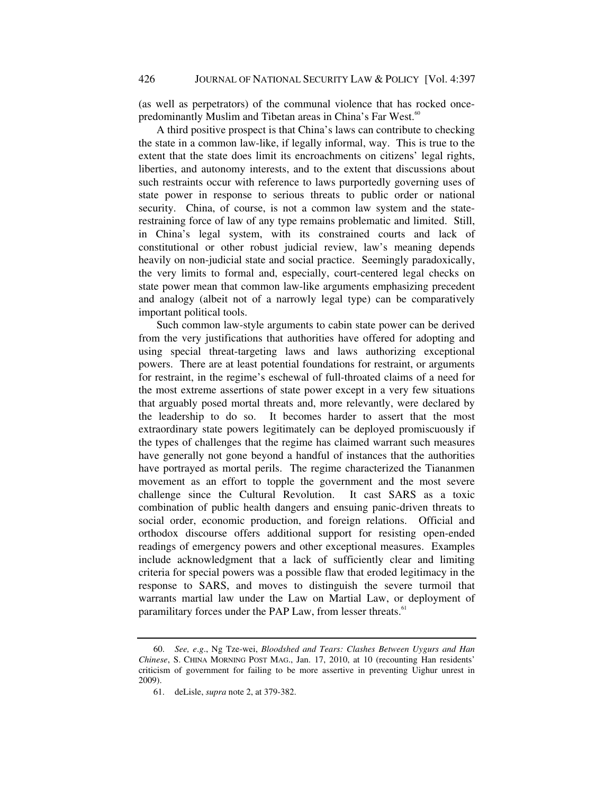(as well as perpetrators) of the communal violence that has rocked oncepredominantly Muslim and Tibetan areas in China's Far West.<sup>60</sup>

A third positive prospect is that China's laws can contribute to checking the state in a common law-like, if legally informal, way. This is true to the extent that the state does limit its encroachments on citizens' legal rights, liberties, and autonomy interests, and to the extent that discussions about such restraints occur with reference to laws purportedly governing uses of state power in response to serious threats to public order or national security. China, of course, is not a common law system and the staterestraining force of law of any type remains problematic and limited. Still, in China's legal system, with its constrained courts and lack of constitutional or other robust judicial review, law's meaning depends heavily on non-judicial state and social practice. Seemingly paradoxically, the very limits to formal and, especially, court-centered legal checks on state power mean that common law-like arguments emphasizing precedent and analogy (albeit not of a narrowly legal type) can be comparatively important political tools.

Such common law-style arguments to cabin state power can be derived from the very justifications that authorities have offered for adopting and using special threat-targeting laws and laws authorizing exceptional powers. There are at least potential foundations for restraint, or arguments for restraint, in the regime's eschewal of full-throated claims of a need for the most extreme assertions of state power except in a very few situations that arguably posed mortal threats and, more relevantly, were declared by the leadership to do so. It becomes harder to assert that the most extraordinary state powers legitimately can be deployed promiscuously if the types of challenges that the regime has claimed warrant such measures have generally not gone beyond a handful of instances that the authorities have portrayed as mortal perils. The regime characterized the Tiananmen movement as an effort to topple the government and the most severe challenge since the Cultural Revolution. It cast SARS as a toxic combination of public health dangers and ensuing panic-driven threats to social order, economic production, and foreign relations. Official and orthodox discourse offers additional support for resisting open-ended readings of emergency powers and other exceptional measures. Examples include acknowledgment that a lack of sufficiently clear and limiting criteria for special powers was a possible flaw that eroded legitimacy in the response to SARS, and moves to distinguish the severe turmoil that warrants martial law under the Law on Martial Law, or deployment of paramilitary forces under the PAP Law, from lesser threats.<sup>61</sup>

<sup>60.</sup> *See, e*.*g*., Ng Tze-wei, *Bloodshed and Tears: Clashes Between Uygurs and Han Chinese*, S. CHINA MORNING POST MAG., Jan. 17, 2010, at 10 (recounting Han residents' criticism of government for failing to be more assertive in preventing Uighur unrest in 2009).

 <sup>61.</sup> deLisle, *supra* note 2, at 379-382.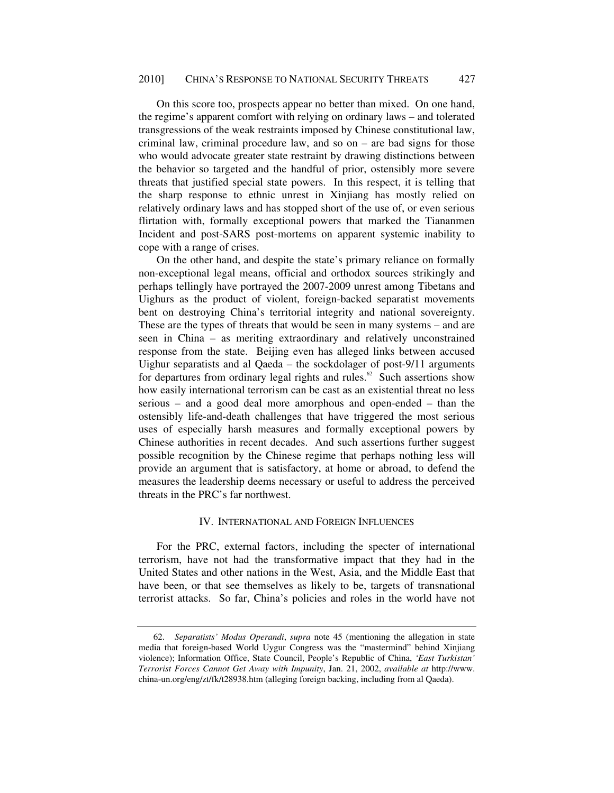On this score too, prospects appear no better than mixed. On one hand, the regime's apparent comfort with relying on ordinary laws – and tolerated transgressions of the weak restraints imposed by Chinese constitutional law, criminal law, criminal procedure law, and so on – are bad signs for those who would advocate greater state restraint by drawing distinctions between the behavior so targeted and the handful of prior, ostensibly more severe threats that justified special state powers. In this respect, it is telling that the sharp response to ethnic unrest in Xinjiang has mostly relied on relatively ordinary laws and has stopped short of the use of, or even serious flirtation with, formally exceptional powers that marked the Tiananmen Incident and post-SARS post-mortems on apparent systemic inability to cope with a range of crises.

On the other hand, and despite the state's primary reliance on formally non-exceptional legal means, official and orthodox sources strikingly and perhaps tellingly have portrayed the 2007-2009 unrest among Tibetans and Uighurs as the product of violent, foreign-backed separatist movements bent on destroying China's territorial integrity and national sovereignty. These are the types of threats that would be seen in many systems – and are seen in China – as meriting extraordinary and relatively unconstrained response from the state. Beijing even has alleged links between accused Uighur separatists and al Qaeda – the sockdolager of post-9/11 arguments for departures from ordinary legal rights and rules.<sup>62</sup> Such assertions show how easily international terrorism can be cast as an existential threat no less serious – and a good deal more amorphous and open-ended – than the ostensibly life-and-death challenges that have triggered the most serious uses of especially harsh measures and formally exceptional powers by Chinese authorities in recent decades. And such assertions further suggest possible recognition by the Chinese regime that perhaps nothing less will provide an argument that is satisfactory, at home or abroad, to defend the measures the leadership deems necessary or useful to address the perceived threats in the PRC's far northwest.

#### IV. INTERNATIONAL AND FOREIGN INFLUENCES

For the PRC, external factors, including the specter of international terrorism, have not had the transformative impact that they had in the United States and other nations in the West, Asia, and the Middle East that have been, or that see themselves as likely to be, targets of transnational terrorist attacks. So far, China's policies and roles in the world have not

<sup>62.</sup> *Separatists' Modus Operandi*, *supra* note 45 (mentioning the allegation in state media that foreign-based World Uygur Congress was the "mastermind" behind Xinjiang violence); Information Office, State Council, People's Republic of China, *'East Turkistan' Terrorist Forces Cannot Get Away with Impunity*, Jan. 21, 2002, *available at* http://www. china-un.org/eng/zt/fk/t28938.htm (alleging foreign backing, including from al Qaeda).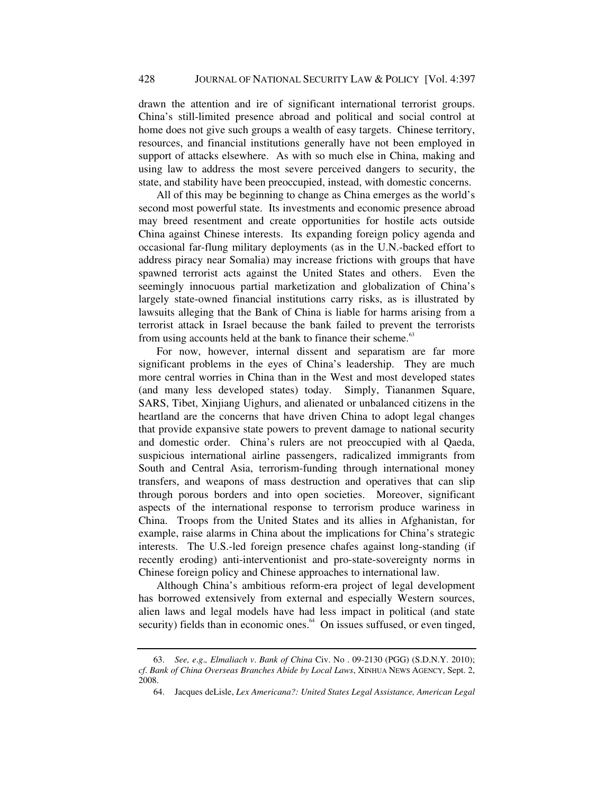drawn the attention and ire of significant international terrorist groups. China's still-limited presence abroad and political and social control at home does not give such groups a wealth of easy targets. Chinese territory, resources, and financial institutions generally have not been employed in support of attacks elsewhere. As with so much else in China, making and using law to address the most severe perceived dangers to security, the state, and stability have been preoccupied, instead, with domestic concerns.

All of this may be beginning to change as China emerges as the world's second most powerful state. Its investments and economic presence abroad may breed resentment and create opportunities for hostile acts outside China against Chinese interests. Its expanding foreign policy agenda and occasional far-flung military deployments (as in the U.N.-backed effort to address piracy near Somalia) may increase frictions with groups that have spawned terrorist acts against the United States and others. Even the seemingly innocuous partial marketization and globalization of China's largely state-owned financial institutions carry risks, as is illustrated by lawsuits alleging that the Bank of China is liable for harms arising from a terrorist attack in Israel because the bank failed to prevent the terrorists from using accounts held at the bank to finance their scheme.<sup>63</sup>

For now, however, internal dissent and separatism are far more significant problems in the eyes of China's leadership. They are much more central worries in China than in the West and most developed states (and many less developed states) today. Simply, Tiananmen Square, SARS, Tibet, Xinjiang Uighurs, and alienated or unbalanced citizens in the heartland are the concerns that have driven China to adopt legal changes that provide expansive state powers to prevent damage to national security and domestic order. China's rulers are not preoccupied with al Qaeda, suspicious international airline passengers, radicalized immigrants from South and Central Asia, terrorism-funding through international money transfers, and weapons of mass destruction and operatives that can slip through porous borders and into open societies. Moreover, significant aspects of the international response to terrorism produce wariness in China. Troops from the United States and its allies in Afghanistan, for example, raise alarms in China about the implications for China's strategic interests. The U.S.-led foreign presence chafes against long-standing (if recently eroding) anti-interventionist and pro-state-sovereignty norms in Chinese foreign policy and Chinese approaches to international law.

Although China's ambitious reform-era project of legal development has borrowed extensively from external and especially Western sources, alien laws and legal models have had less impact in political (and state security) fields than in economic ones.<sup>64</sup> On issues suffused, or even tinged,

<sup>63.</sup> *See, e*.*g*.*, Elmaliach v*. *Bank of China* Civ. No . 09-2130 (PGG) (S.D.N.Y. 2010); *cf*. *Bank of China Overseas Branches Abide by Local Laws*, XINHUA NEWS AGENCY, Sept. 2, 2008.

 <sup>64.</sup> Jacques deLisle, *Lex Americana?: United States Legal Assistance, American Legal*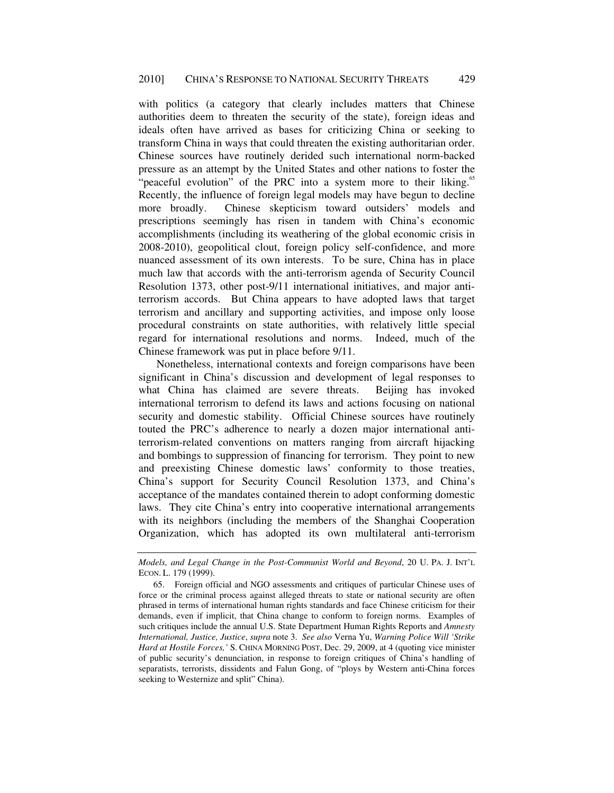with politics (a category that clearly includes matters that Chinese authorities deem to threaten the security of the state), foreign ideas and ideals often have arrived as bases for criticizing China or seeking to transform China in ways that could threaten the existing authoritarian order. Chinese sources have routinely derided such international norm-backed pressure as an attempt by the United States and other nations to foster the "peaceful evolution" of the PRC into a system more to their liking.<sup>65</sup> Recently, the influence of foreign legal models may have begun to decline more broadly. Chinese skepticism toward outsiders' models and prescriptions seemingly has risen in tandem with China's economic accomplishments (including its weathering of the global economic crisis in 2008-2010), geopolitical clout, foreign policy self-confidence, and more nuanced assessment of its own interests. To be sure, China has in place much law that accords with the anti-terrorism agenda of Security Council Resolution 1373, other post-9/11 international initiatives, and major antiterrorism accords. But China appears to have adopted laws that target terrorism and ancillary and supporting activities, and impose only loose procedural constraints on state authorities, with relatively little special regard for international resolutions and norms. Indeed, much of the Chinese framework was put in place before 9/11.

Nonetheless, international contexts and foreign comparisons have been significant in China's discussion and development of legal responses to what China has claimed are severe threats. Beijing has invoked international terrorism to defend its laws and actions focusing on national security and domestic stability. Official Chinese sources have routinely touted the PRC's adherence to nearly a dozen major international antiterrorism-related conventions on matters ranging from aircraft hijacking and bombings to suppression of financing for terrorism. They point to new and preexisting Chinese domestic laws' conformity to those treaties, China's support for Security Council Resolution 1373, and China's acceptance of the mandates contained therein to adopt conforming domestic laws. They cite China's entry into cooperative international arrangements with its neighbors (including the members of the Shanghai Cooperation Organization, which has adopted its own multilateral anti-terrorism

*Models, and Legal Change in the Post-Communist World and Beyond*, 20 U. PA. J. INT'L ECON. L. 179 (1999).

 <sup>65.</sup> Foreign official and NGO assessments and critiques of particular Chinese uses of force or the criminal process against alleged threats to state or national security are often phrased in terms of international human rights standards and face Chinese criticism for their demands, even if implicit, that China change to conform to foreign norms. Examples of such critiques include the annual U.S. State Department Human Rights Reports and *Amnesty International, Justice, Justice*, *supra* note 3. *See also* Verna Yu, *Warning Police Will 'Strike Hard at Hostile Forces,'* S. CHINA MORNING POST, Dec. 29, 2009, at 4 (quoting vice minister of public security's denunciation, in response to foreign critiques of China's handling of separatists, terrorists, dissidents and Falun Gong, of "ploys by Western anti-China forces seeking to Westernize and split" China).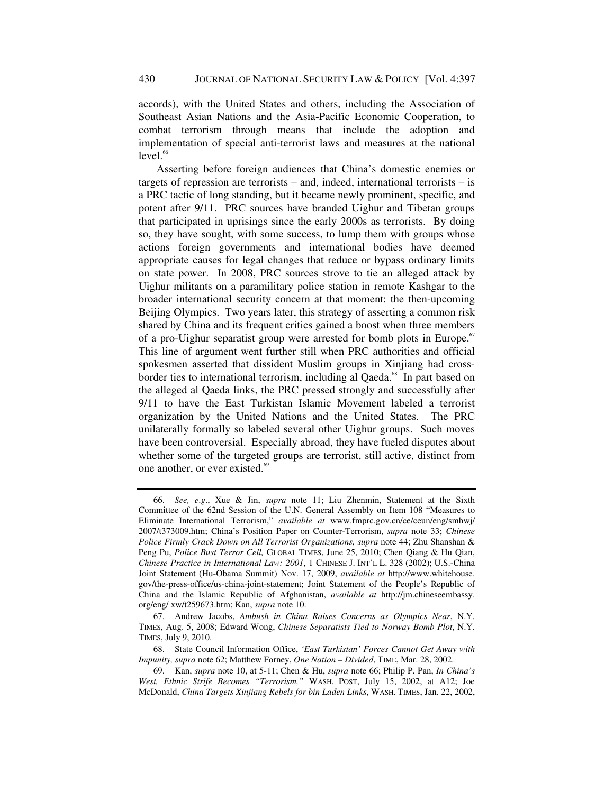accords), with the United States and others, including the Association of Southeast Asian Nations and the Asia-Pacific Economic Cooperation, to combat terrorism through means that include the adoption and implementation of special anti-terrorist laws and measures at the national  $level.<sub>66</sub>$ 

Asserting before foreign audiences that China's domestic enemies or targets of repression are terrorists – and, indeed, international terrorists – is a PRC tactic of long standing, but it became newly prominent, specific, and potent after 9/11. PRC sources have branded Uighur and Tibetan groups that participated in uprisings since the early 2000s as terrorists. By doing so, they have sought, with some success, to lump them with groups whose actions foreign governments and international bodies have deemed appropriate causes for legal changes that reduce or bypass ordinary limits on state power. In 2008, PRC sources strove to tie an alleged attack by Uighur militants on a paramilitary police station in remote Kashgar to the broader international security concern at that moment: the then-upcoming Beijing Olympics. Two years later, this strategy of asserting a common risk shared by China and its frequent critics gained a boost when three members of a pro-Uighur separatist group were arrested for bomb plots in Europe.<sup>67</sup> This line of argument went further still when PRC authorities and official spokesmen asserted that dissident Muslim groups in Xinjiang had crossborder ties to international terrorism, including al Qaeda.<sup>68</sup> In part based on the alleged al Qaeda links, the PRC pressed strongly and successfully after 9/11 to have the East Turkistan Islamic Movement labeled a terrorist organization by the United Nations and the United States. The PRC unilaterally formally so labeled several other Uighur groups. Such moves have been controversial. Especially abroad, they have fueled disputes about whether some of the targeted groups are terrorist, still active, distinct from one another, or ever existed.<sup>69</sup>

<sup>66.</sup> *See, e*.*g*., Xue & Jin, *supra* note 11; Liu Zhenmin, Statement at the Sixth Committee of the 62nd Session of the U.N. General Assembly on Item 108 "Measures to Eliminate International Terrorism," *available at* www.fmprc.gov.cn/ce/ceun/eng/smhwj/ 2007/t373009.htm; China's Position Paper on Counter-Terrorism, *supra* note 33; *Chinese Police Firmly Crack Down on All Terrorist Organizations, supra note 44; Zhu Shanshan &* Peng Pu, *Police Bust Terror Cell,* GLOBAL TIMES, June 25, 2010; Chen Qiang & Hu Qian, *Chinese Practice in International Law: 2001*, 1 CHINESE J. INT'L L. 328 (2002); U.S.-China Joint Statement (Hu-Obama Summit) Nov. 17, 2009, *available at* http://www.whitehouse. gov/the-press-office/us-china-joint-statement; Joint Statement of the People's Republic of China and the Islamic Republic of Afghanistan, *available at* http://jm.chineseembassy. org/eng/ xw/t259673.htm; Kan, *supra* note 10.

 <sup>67.</sup> Andrew Jacobs, *Ambush in China Raises Concerns as Olympics Near*, N.Y. TIMES, Aug. 5, 2008; Edward Wong, *Chinese Separatists Tied to Norway Bomb Plot*, N.Y. TIMES, July 9, 2010.

 <sup>68.</sup> State Council Information Office, *'East Turkistan' Forces Cannot Get Away with Impunity, supra* note 62; Matthew Forney, *One Nation – Divided*, TIME, Mar. 28, 2002.

 <sup>69.</sup> Kan, *supra* note 10, at 5-11; Chen & Hu, *supra* note 66; Philip P. Pan, *In China's West, Ethnic Strife Becomes "Terrorism,"* WASH. POST, July 15, 2002, at A12; Joe McDonald, *China Targets Xinjiang Rebels for bin Laden Links*, WASH. TIMES, Jan. 22, 2002,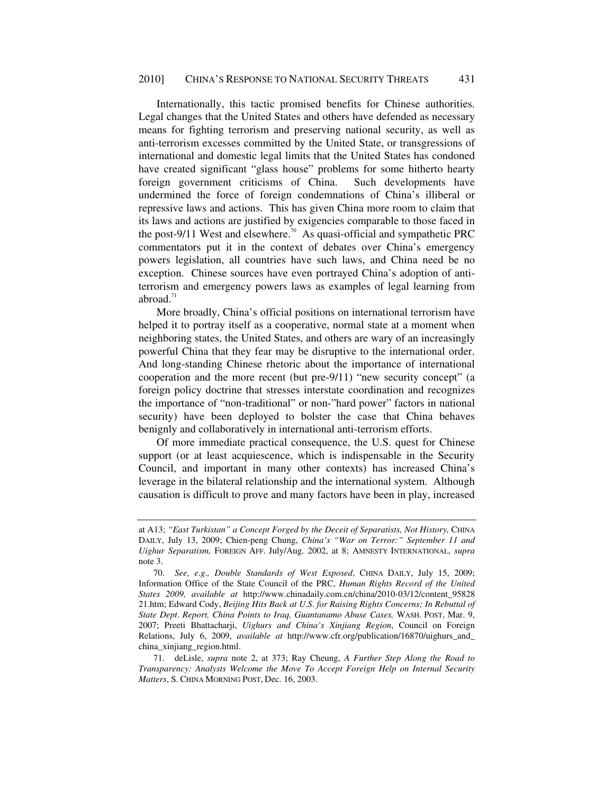Internationally, this tactic promised benefits for Chinese authorities. Legal changes that the United States and others have defended as necessary means for fighting terrorism and preserving national security, as well as anti-terrorism excesses committed by the United State, or transgressions of international and domestic legal limits that the United States has condoned have created significant "glass house" problems for some hitherto hearty foreign government criticisms of China. Such developments have undermined the force of foreign condemnations of China's illiberal or repressive laws and actions. This has given China more room to claim that its laws and actions are justified by exigencies comparable to those faced in the post-9/11 West and elsewhere.<sup>70</sup> As quasi-official and sympathetic PRC commentators put it in the context of debates over China's emergency powers legislation, all countries have such laws, and China need be no exception. Chinese sources have even portrayed China's adoption of antiterrorism and emergency powers laws as examples of legal learning from abroad. $71$ 

More broadly, China's official positions on international terrorism have helped it to portray itself as a cooperative, normal state at a moment when neighboring states, the United States, and others are wary of an increasingly powerful China that they fear may be disruptive to the international order. And long-standing Chinese rhetoric about the importance of international cooperation and the more recent (but pre-9/11) "new security concept" (a foreign policy doctrine that stresses interstate coordination and recognizes the importance of "non-traditional" or non-"hard power" factors in national security) have been deployed to bolster the case that China behaves benignly and collaboratively in international anti-terrorism efforts.

Of more immediate practical consequence, the U.S. quest for Chinese support (or at least acquiescence, which is indispensable in the Security Council, and important in many other contexts) has increased China's leverage in the bilateral relationship and the international system. Although causation is difficult to prove and many factors have been in play, increased

at A13; "East Turkistan" a Concept Forged by the Deceit of Separatists, Not History, CHINA DAILY, July 13, 2009; Chien-peng Chung, *China's "War on Terror:" September 11 and Uighur Separatism,* FOREIGN AFF. July/Aug. 2002, at 8; AMNESTY INTERNATIONAL, *supra*  note 3.

<sup>70.</sup> *See, e*.*g*.*, Double Standards of West Exposed*, CHINA DAILY, July 15, 2009; Information Office of the State Council of the PRC, *Human Rights Record of the United States 2009, available at* http://www.chinadaily.com.cn/china/2010-03/12/content\_95828 21.htm; Edward Cody, *Beijing Hits Back at U*.*S*. *for Raising Rights Concerns; In Rebuttal of State Dept*. *Report, China Points to Iraq, Guantanamo Abuse Cases,* WASH. POST, Mar. 9, 2007; Preeti Bhattacharji, *Uighurs and China's Xinjiang Region*, Council on Foreign Relations, July 6, 2009, *available at* http://www.cfr.org/publication/16870/uighurs\_and\_ china\_xinjiang\_region.html.

 <sup>71.</sup> deLisle, *supra* note 2, at 373; Ray Cheung, *A Further Step Along the Road to Transparency: Analysts Welcome the Move To Accept Foreign Help on Internal Security Matters*, S. CHINA MORNING POST, Dec. 16, 2003.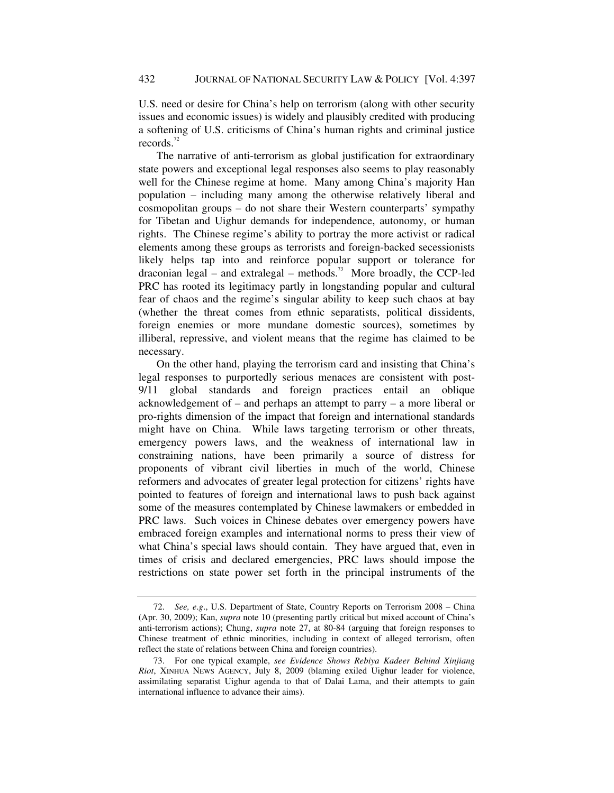U.S. need or desire for China's help on terrorism (along with other security issues and economic issues) is widely and plausibly credited with producing a softening of U.S. criticisms of China's human rights and criminal justice records.<sup>72</sup>

The narrative of anti-terrorism as global justification for extraordinary state powers and exceptional legal responses also seems to play reasonably well for the Chinese regime at home. Many among China's majority Han population – including many among the otherwise relatively liberal and cosmopolitan groups – do not share their Western counterparts' sympathy for Tibetan and Uighur demands for independence, autonomy, or human rights. The Chinese regime's ability to portray the more activist or radical elements among these groups as terrorists and foreign-backed secessionists likely helps tap into and reinforce popular support or tolerance for draconian legal – and extralegal – methods.<sup>73</sup> More broadly, the CCP-led PRC has rooted its legitimacy partly in longstanding popular and cultural fear of chaos and the regime's singular ability to keep such chaos at bay (whether the threat comes from ethnic separatists, political dissidents, foreign enemies or more mundane domestic sources), sometimes by illiberal, repressive, and violent means that the regime has claimed to be necessary.

On the other hand, playing the terrorism card and insisting that China's legal responses to purportedly serious menaces are consistent with post-9/11 global standards and foreign practices entail an oblique acknowledgement of – and perhaps an attempt to parry – a more liberal or pro-rights dimension of the impact that foreign and international standards might have on China. While laws targeting terrorism or other threats, emergency powers laws, and the weakness of international law in constraining nations, have been primarily a source of distress for proponents of vibrant civil liberties in much of the world, Chinese reformers and advocates of greater legal protection for citizens' rights have pointed to features of foreign and international laws to push back against some of the measures contemplated by Chinese lawmakers or embedded in PRC laws. Such voices in Chinese debates over emergency powers have embraced foreign examples and international norms to press their view of what China's special laws should contain. They have argued that, even in times of crisis and declared emergencies, PRC laws should impose the restrictions on state power set forth in the principal instruments of the

<sup>72.</sup> *See, e*.*g*., U.S. Department of State, Country Reports on Terrorism 2008 – China (Apr. 30, 2009); Kan, *supra* note 10 (presenting partly critical but mixed account of China's anti-terrorism actions); Chung, *supra* note 27, at 80-84 (arguing that foreign responses to Chinese treatment of ethnic minorities, including in context of alleged terrorism, often reflect the state of relations between China and foreign countries).

 <sup>73.</sup> For one typical example, *see Evidence Shows Rebiya Kadeer Behind Xinjiang Riot*, XINHUA NEWS AGENCY, July 8, 2009 (blaming exiled Uighur leader for violence, assimilating separatist Uighur agenda to that of Dalai Lama, and their attempts to gain international influence to advance their aims).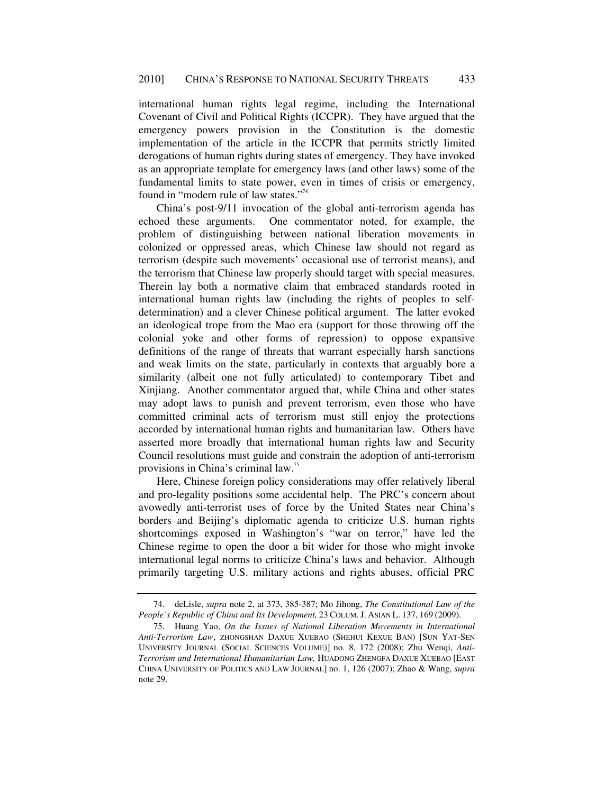international human rights legal regime, including the International Covenant of Civil and Political Rights (ICCPR). They have argued that the emergency powers provision in the Constitution is the domestic implementation of the article in the ICCPR that permits strictly limited derogations of human rights during states of emergency. They have invoked as an appropriate template for emergency laws (and other laws) some of the fundamental limits to state power, even in times of crisis or emergency, found in "modern rule of law states."<sup>74</sup>

China's post-9/11 invocation of the global anti-terrorism agenda has echoed these arguments. One commentator noted, for example, the problem of distinguishing between national liberation movements in colonized or oppressed areas, which Chinese law should not regard as terrorism (despite such movements' occasional use of terrorist means), and the terrorism that Chinese law properly should target with special measures. Therein lay both a normative claim that embraced standards rooted in international human rights law (including the rights of peoples to selfdetermination) and a clever Chinese political argument. The latter evoked an ideological trope from the Mao era (support for those throwing off the colonial yoke and other forms of repression) to oppose expansive definitions of the range of threats that warrant especially harsh sanctions and weak limits on the state, particularly in contexts that arguably bore a similarity (albeit one not fully articulated) to contemporary Tibet and Xinjiang. Another commentator argued that, while China and other states may adopt laws to punish and prevent terrorism, even those who have committed criminal acts of terrorism must still enjoy the protections accorded by international human rights and humanitarian law. Others have asserted more broadly that international human rights law and Security Council resolutions must guide and constrain the adoption of anti-terrorism provisions in China's criminal law.<sup>75</sup>

Here, Chinese foreign policy considerations may offer relatively liberal and pro-legality positions some accidental help. The PRC's concern about avowedly anti-terrorist uses of force by the United States near China's borders and Beijing's diplomatic agenda to criticize U.S. human rights shortcomings exposed in Washington's "war on terror," have led the Chinese regime to open the door a bit wider for those who might invoke international legal norms to criticize China's laws and behavior. Although primarily targeting U.S. military actions and rights abuses, official PRC

 <sup>74.</sup> deLisle, *supra* note 2, at 373, 385-387; Mo Jihong, *The Constitutional Law of the People's Republic of China and Its Development,* 23 COLUM. J. ASIAN L. 137, 169 (2009).

 <sup>75.</sup> Huang Yao, *On the Issues of National Liberation Movements in International Anti-Terrorism Law*, ZHONGSHAN DAXUE XUEBAO (SHEHUI KEXUE BAN) [SUN YAT-SEN UNIVERSITY JOURNAL (SOCIAL SCIENCES VOLUME)] no. 8, 172 (2008); Zhu Wenqi, *Anti-Terrorism and International Humanitarian Law,* HUADONG ZHENGFA DAXUE XUEBAO [EAST CHINA UNIVERSITY OF POLITICS AND LAW JOURNAL] no. 1, 126 (2007); Zhao & Wang, *supra* note 29.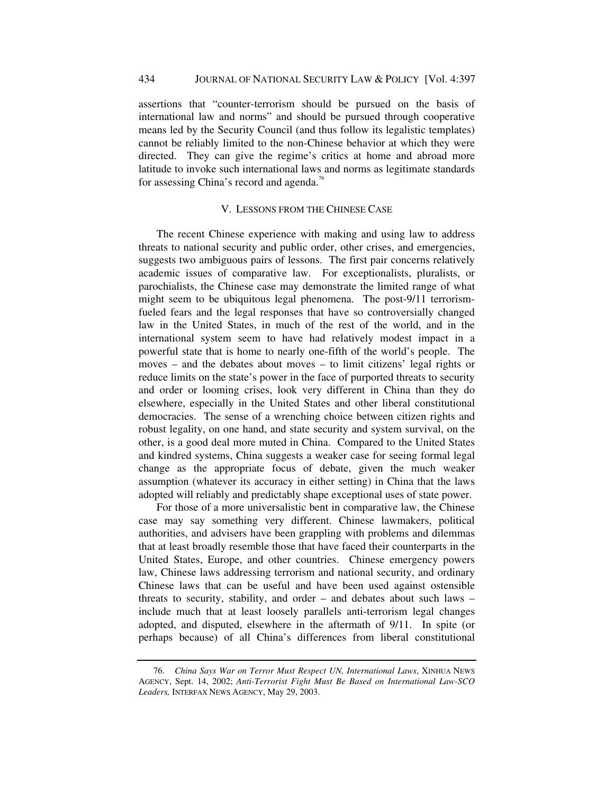assertions that "counter-terrorism should be pursued on the basis of international law and norms" and should be pursued through cooperative means led by the Security Council (and thus follow its legalistic templates) cannot be reliably limited to the non-Chinese behavior at which they were directed. They can give the regime's critics at home and abroad more latitude to invoke such international laws and norms as legitimate standards for assessing China's record and agenda.<sup>76</sup>

# V. LESSONS FROM THE CHINESE CASE

The recent Chinese experience with making and using law to address threats to national security and public order, other crises, and emergencies, suggests two ambiguous pairs of lessons. The first pair concerns relatively academic issues of comparative law. For exceptionalists, pluralists, or parochialists, the Chinese case may demonstrate the limited range of what might seem to be ubiquitous legal phenomena. The post-9/11 terrorismfueled fears and the legal responses that have so controversially changed law in the United States, in much of the rest of the world, and in the international system seem to have had relatively modest impact in a powerful state that is home to nearly one-fifth of the world's people. The moves – and the debates about moves – to limit citizens' legal rights or reduce limits on the state's power in the face of purported threats to security and order or looming crises, look very different in China than they do elsewhere, especially in the United States and other liberal constitutional democracies. The sense of a wrenching choice between citizen rights and robust legality, on one hand, and state security and system survival, on the other, is a good deal more muted in China. Compared to the United States and kindred systems, China suggests a weaker case for seeing formal legal change as the appropriate focus of debate, given the much weaker assumption (whatever its accuracy in either setting) in China that the laws adopted will reliably and predictably shape exceptional uses of state power.

For those of a more universalistic bent in comparative law, the Chinese case may say something very different. Chinese lawmakers, political authorities, and advisers have been grappling with problems and dilemmas that at least broadly resemble those that have faced their counterparts in the United States, Europe, and other countries. Chinese emergency powers law, Chinese laws addressing terrorism and national security, and ordinary Chinese laws that can be useful and have been used against ostensible threats to security, stability, and order – and debates about such laws – include much that at least loosely parallels anti-terrorism legal changes adopted, and disputed, elsewhere in the aftermath of 9/11. In spite (or perhaps because) of all China's differences from liberal constitutional

<sup>76.</sup> *China Says War on Terror Must Respect UN, International Laws*, XINHUA NEWS AGENCY, Sept. 14, 2002; *Anti-Terrorist Fight Must Be Based on International Law-SCO Leaders,* INTERFAX NEWS AGENCY, May 29, 2003.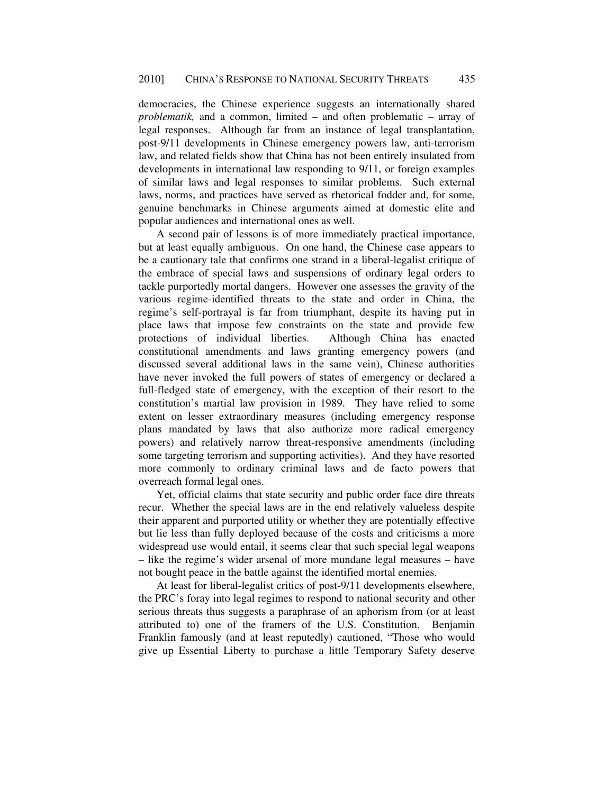democracies, the Chinese experience suggests an internationally shared *problematik,* and a common, limited – and often problematic – array of legal responses. Although far from an instance of legal transplantation, post-9/11 developments in Chinese emergency powers law, anti-terrorism law, and related fields show that China has not been entirely insulated from developments in international law responding to 9/11, or foreign examples of similar laws and legal responses to similar problems. Such external laws, norms, and practices have served as rhetorical fodder and, for some, genuine benchmarks in Chinese arguments aimed at domestic elite and popular audiences and international ones as well.

A second pair of lessons is of more immediately practical importance, but at least equally ambiguous. On one hand, the Chinese case appears to be a cautionary tale that confirms one strand in a liberal-legalist critique of the embrace of special laws and suspensions of ordinary legal orders to tackle purportedly mortal dangers. However one assesses the gravity of the various regime-identified threats to the state and order in China, the regime's self-portrayal is far from triumphant, despite its having put in place laws that impose few constraints on the state and provide few protections of individual liberties. Although China has enacted constitutional amendments and laws granting emergency powers (and discussed several additional laws in the same vein), Chinese authorities have never invoked the full powers of states of emergency or declared a full-fledged state of emergency, with the exception of their resort to the constitution's martial law provision in 1989. They have relied to some extent on lesser extraordinary measures (including emergency response plans mandated by laws that also authorize more radical emergency powers) and relatively narrow threat-responsive amendments (including some targeting terrorism and supporting activities). And they have resorted more commonly to ordinary criminal laws and de facto powers that overreach formal legal ones.

Yet, official claims that state security and public order face dire threats recur. Whether the special laws are in the end relatively valueless despite their apparent and purported utility or whether they are potentially effective but lie less than fully deployed because of the costs and criticisms a more widespread use would entail, it seems clear that such special legal weapons – like the regime's wider arsenal of more mundane legal measures – have not bought peace in the battle against the identified mortal enemies.

At least for liberal-legalist critics of post-9/11 developments elsewhere, the PRC's foray into legal regimes to respond to national security and other serious threats thus suggests a paraphrase of an aphorism from (or at least attributed to) one of the framers of the U.S. Constitution. Benjamin Franklin famously (and at least reputedly) cautioned, "Those who would give up Essential Liberty to purchase a little Temporary Safety deserve